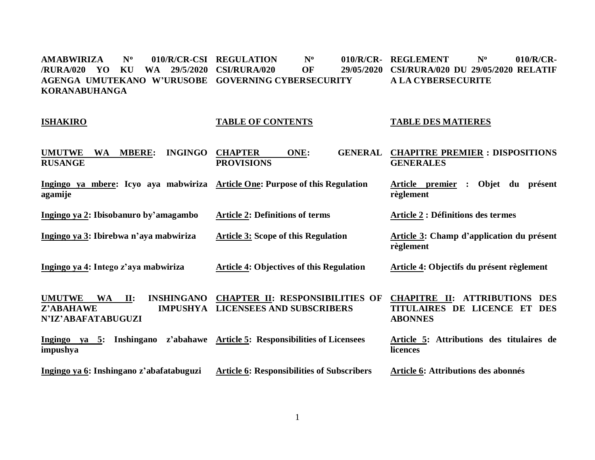$AMABWIRIZA$  N<sup>o</sup> **/RURA/020 YO KU WA 29/5/2020 CSI/RURA/020 OF 29/05/2020 AGENGA UMUTEKANO W'URUSOBE GOVERNING CYBERSECURITY KORANABUHANGA** 010/R/CR-CSI REGULATION Nº 010/R/CR- REGLEMENT Nº 010/R/CR-**CSI/RURA/020 DU 29/05/2020 RELATIF A LA CYBERSECURITE**

#### **ISHAKIRO**

#### **TABLE OF CONTENTS**

#### **TABLE DES MATIERES**

| <b>INGINGO</b><br><b>UMUTWE</b><br><b>MBERE:</b><br>WA<br><b>RUSANGE</b>                                     | <b>CHAPTER</b><br>ONE:<br><b>GENERAL</b><br><b>PROVISIONS</b>              | <b>CHAPITRE PREMIER : DISPOSITIONS</b><br><b>GENERALES</b>                                                 |
|--------------------------------------------------------------------------------------------------------------|----------------------------------------------------------------------------|------------------------------------------------------------------------------------------------------------|
| Ingingo ya mbere: Icyo aya mabwiriza Article One: Purpose of this Regulation<br>agamije                      |                                                                            | Objet<br>Article premier<br>présent<br>du<br>règlement                                                     |
| Ingingo ya 2: Ibisobanuro by'amagambo                                                                        | <b>Article 2: Definitions of terms</b>                                     | <b>Article 2 : Définitions des termes</b>                                                                  |
| Ingingo ya 3: Ibirebwa n'aya mabwiriza                                                                       | <b>Article 3: Scope of this Regulation</b>                                 | Article 3: Champ d'application du présent<br>règlement                                                     |
| Ingingo ya 4: Intego z'aya mabwiriza                                                                         | <b>Article 4: Objectives of this Regulation</b>                            | Article 4: Objectifs du présent règlement                                                                  |
| <b>UMUTWE</b><br><b>WA</b><br>II:<br><b>INSHINGANO</b><br>Z'ABAHAWE<br><b>IMPUSHYA</b><br>N'IZ'ABAFATABUGUZI | <b>CHAPTER II: RESPONSIBILITIES OF</b><br><b>LICENSEES AND SUBSCRIBERS</b> | <b>CHAPITRE II:</b><br><b>ATTRIBUTIONS</b><br><b>DES</b><br>TITULAIRES DE LICENCE ET DES<br><b>ABONNES</b> |
| Ingingo ya 5:<br>Inshingano<br>impushya                                                                      | z'abahawe Article 5: Responsibilities of Licensees                         | Article 5: Attributions des titulaires de<br>licences                                                      |
| Ingingo ya 6: Inshingano z'abafatabuguzi                                                                     | <b>Article 6: Responsibilities of Subscribers</b>                          | Article 6: Attributions des abonnés                                                                        |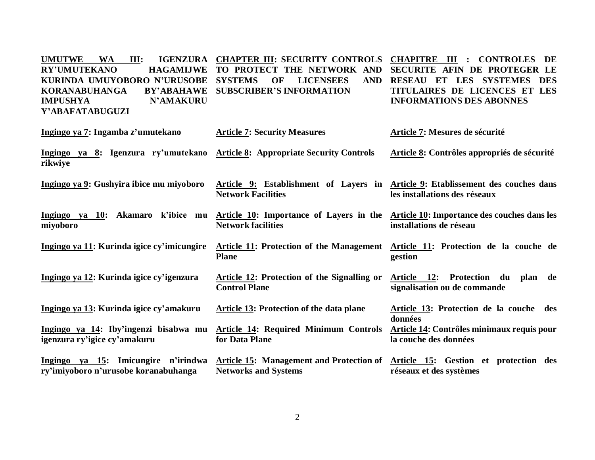UMUTWE WA **III: RY'UMUTEKANO KURINDA UMUYOBORO N'URUSOBE SYSTEMS OF LICENSEES AND**   $\bf KORANABUHANGA$ **IMPUSHYA N'AMAKURU Y'ABAFATABUGUZI CHAPTER III: SECURITY CONTROLS CHAPITRE III : CONTROLES DE TO PROTECT THE NETWORK AND SECURITE AFIN DE PROTEGER LE BY'ABAHAWE SUBSCRIBER'S INFORMATION RESEAU ET LES SYSTEMES DES TITULAIRES DE LICENCES ET LES INFORMATIONS DES ABONNES**

| Ingingo ya 7: Ingamba z'umutekano                                                       | <b>Article 7: Security Measures</b>                                  | Article 7: Mesures de sécurité                                                                                   |
|-----------------------------------------------------------------------------------------|----------------------------------------------------------------------|------------------------------------------------------------------------------------------------------------------|
| Ingingo ya 8: Igenzura ry'umutekano Article 8: Appropriate Security Controls<br>rikwiye |                                                                      | Article 8: Contrôles appropriés de sécurité                                                                      |
| Ingingo ya 9: Gushyira ibice mu miyoboro                                                | <b>Network Facilities</b>                                            | Article 9: Establishment of Layers in Article 9: Etablissement des couches dans<br>les installations des réseaux |
| Ingingo ya 10: Akamaro<br>k'ibice mu<br>miyoboro                                        | Article 10: Importance of Layers in the<br><b>Network facilities</b> | Article 10: Importance des couches dans les<br>installations de réseau                                           |
| Ingingo ya 11: Kurinda igice cy'imicungire                                              | <b>Plane</b>                                                         | Article 11: Protection of the Management Article 11: Protection de la couche de<br>gestion                       |
| Ingingo ya 12: Kurinda igice cy'igenzura                                                | Article 12: Protection of the Signalling or<br><b>Control Plane</b>  | Article 12: Protection du<br>plan<br>de<br>signalisation ou de commande                                          |
| Ingingo ya 13: Kurinda igice cy'amakuru                                                 | Article 13: Protection of the data plane                             | Article 13: Protection de la couche des<br>données                                                               |
| Ingingo ya 14: Iby'ingenzi bisabwa mu<br>igenzura ry'igice cy'amakuru                   | <b>Article 14: Required Minimum Controls</b><br>for Data Plane       | Article 14: Contrôles minimaux requis pour<br>la couche des données                                              |
| Ingingo ya 15: Imicungire n'irindwa<br>ry'imiyoboro n'urusobe koranabuhanga             | <b>Networks and Systems</b>                                          | Article 15: Management and Protection of Article 15: Gestion et protection des<br>réseaux et des systèmes        |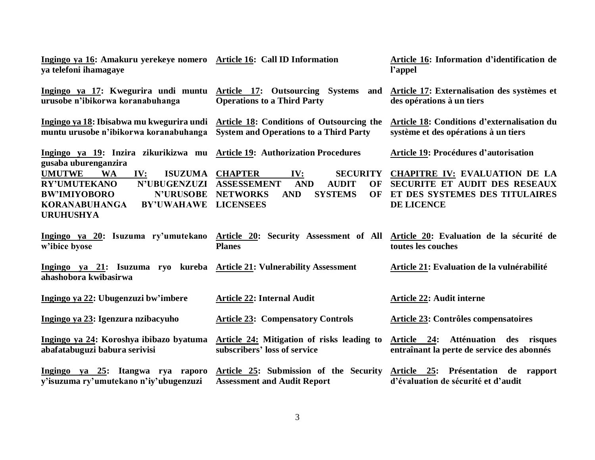| Ingingo ya 16: Amakuru yerekeye nomero Article 16: Call ID Information<br>ya telefoni ihamagaye                                                                                                               |                                                                                                                                                                                 | Article 16: Information d'identification de<br>l'appel                                                                       |  |
|---------------------------------------------------------------------------------------------------------------------------------------------------------------------------------------------------------------|---------------------------------------------------------------------------------------------------------------------------------------------------------------------------------|------------------------------------------------------------------------------------------------------------------------------|--|
| Ingingo ya 17: Kwegurira undi muntu Article 17: Outsourcing Systems<br>urusobe n'ibikorwa koranabuhanga                                                                                                       | and<br><b>Operations to a Third Party</b>                                                                                                                                       | Article 17: Externalisation des systèmes et<br>des opérations à un tiers                                                     |  |
| Ingingo ya 18: Ibisabwa mu kwegurira undi Article 18: Conditions of Outsourcing the<br>muntu urusobe n'ibikorwa koranabuhanga                                                                                 | <b>System and Operations to a Third Party</b>                                                                                                                                   | Article 18: Conditions d'externalisation du<br>système et des opérations à un tiers                                          |  |
| Ingingo ya 19: Inzira zikurikizwa mu Article 19: Authorization Procedures<br>gusaba uburenganzira                                                                                                             |                                                                                                                                                                                 | Article 19: Procédures d'autorisation                                                                                        |  |
| <b>UMUTWE</b><br><b>WA</b><br>IV:<br><b>ISUZUMA</b><br><b>RY'UMUTEKANO</b><br><b>N'UBUGENZUZI</b><br><b>BW'IMIYOBORO</b><br><b>N'URUSOBE</b><br><b>KORANABUHANGA</b><br><b>BY'UWAHAWE</b><br><b>URUHUSHYA</b> | <b>CHAPTER</b><br>IV:<br><b>SECURITY</b><br><b>ASSESSEMENT</b><br><b>AND</b><br><b>AUDIT</b><br>OF<br><b>SYSTEMS</b><br><b>NETWORKS</b><br><b>AND</b><br>OF<br><b>LICENSEES</b> | <b>CHAPITRE IV: EVALUATION DE LA</b><br>SECURITE ET AUDIT DES RESEAUX<br>ET DES SYSTEMES DES TITULAIRES<br><b>DE LICENCE</b> |  |
| w'ibice byose                                                                                                                                                                                                 | Ingingo ya 20: Isuzuma ry'umutekano Article 20: Security Assessment of All Article 20: Evaluation de la sécurité de<br><b>Planes</b>                                            | toutes les couches                                                                                                           |  |
| Ingingo ya 21: Isuzuma ryo kureba Article 21: Vulnerability Assessment<br>ahashobora kwibasirwa                                                                                                               |                                                                                                                                                                                 | Article 21: Evaluation de la vulnérabilité                                                                                   |  |
| Ingingo ya 22: Ubugenzuzi bw'imbere                                                                                                                                                                           | <b>Article 22: Internal Audit</b>                                                                                                                                               | <b>Article 22: Audit interne</b>                                                                                             |  |
| Ingingo ya 23: Igenzura nzibacyuho                                                                                                                                                                            | <b>Article 23: Compensatory Controls</b>                                                                                                                                        | Article 23: Contrôles compensatoires                                                                                         |  |
| Ingingo ya 24: Koroshya ibibazo byatuma<br>abafatabuguzi babura serivisi                                                                                                                                      | Article 24: Mitigation of risks leading to<br>subscribers' loss of service                                                                                                      | Article 24: Atténuation des risques<br>entraînant la perte de service des abonnés                                            |  |
| Ingingo ya 25: Itangwa rya raporo<br>y'isuzuma ry'umutekano n'iy'ubugenzuzi                                                                                                                                   | Article 25: Submission of the Security<br><b>Assessment and Audit Report</b>                                                                                                    | Article 25: Présentation<br>de rapport<br>d'évaluation de sécurité et d'audit                                                |  |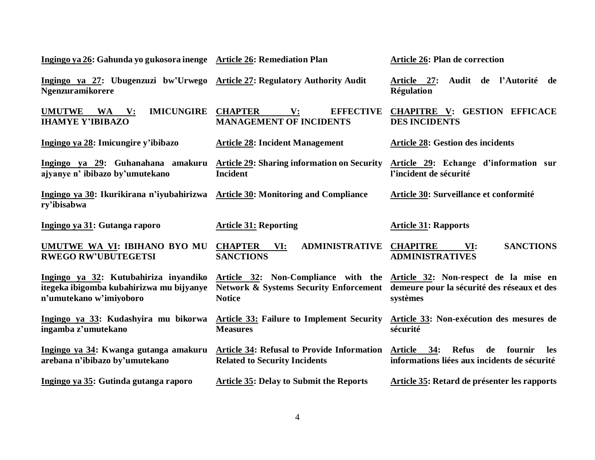| Ingingo ya 26: Gahunda yo gukosora inenge Article 26: Remediation Plan                                           |                                                                                                                                                 | Article 26: Plan de correction                                                                                |
|------------------------------------------------------------------------------------------------------------------|-------------------------------------------------------------------------------------------------------------------------------------------------|---------------------------------------------------------------------------------------------------------------|
| Ingingo ya 27: Ubugenzuzi bw'Urwego Article 27: Regulatory Authority Audit<br><b>Ngenzuramikorere</b>            |                                                                                                                                                 | Audit de l'Autorité de<br>Article 27:<br><b>Régulation</b>                                                    |
| <b>UMUTWE</b><br><b>IMICUNGIRE</b><br>WA V:<br><b>IHAMYE Y'IBIBAZO</b>                                           | <b>EFFECTIVE</b><br><b>CHAPTER</b><br>V:<br><b>MANAGEMENT OF INCIDENTS</b>                                                                      | <b>CHAPITRE V: GESTION EFFICACE</b><br><b>DES INCIDENTS</b>                                                   |
| Ingingo ya 28: Imicungire y'ibibazo                                                                              | <b>Article 28: Incident Management</b>                                                                                                          | <b>Article 28: Gestion des incidents</b>                                                                      |
| Ingingo ya 29: Guhanahana amakuru Article 29: Sharing information on Security<br>ajyanye n' ibibazo by'umutekano | <b>Incident</b>                                                                                                                                 | Article 29: Echange d'information sur<br>l'incident de sécurité                                               |
| Ingingo ya 30: Ikurikirana n'iyubahirizwa Article 30: Monitoring and Compliance<br>ry'ibisabwa                   |                                                                                                                                                 | Article 30: Surveillance et conformité                                                                        |
| Ingingo ya 31: Gutanga raporo                                                                                    | <b>Article 31: Reporting</b>                                                                                                                    | <b>Article 31: Rapports</b>                                                                                   |
| UMUTWE WA VI: IBIHANO BYO MU<br><b>RWEGO RW'UBUTEGETSI</b>                                                       | <b>CHAPTER VI:</b><br><b>ADMINISTRATIVE</b><br><b>SANCTIONS</b>                                                                                 | <b>SANCTIONS</b><br><b>CHAPITRE</b><br>VI:<br><b>ADMINISTRATIVES</b>                                          |
| Ingingo ya 32: Kutubahiriza inyandiko<br>itegeka ibigomba kubahirizwa mu bijyanye<br>n'umutekano w'imiyoboro     | Article 32: Non-Compliance with the Article 32: Non-respect de la mise en<br><b>Network &amp; Systems Security Enforcement</b><br><b>Notice</b> | demeure pour la sécurité des réseaux et des<br>systèmes                                                       |
| Ingingo ya 33: Kudashyira mu bikorwa<br>ingamba z'umutekano                                                      | <b>Article 33: Failure to Implement Security</b><br><b>Measures</b>                                                                             | Article 33: Non-exécution des mesures de<br>sécurité                                                          |
| Ingingo ya 34: Kwanga gutanga amakuru<br>arebana n'ibibazo by'umutekano                                          | <b>Article 34: Refusal to Provide Information</b><br><b>Related to Security Incidents</b>                                                       | <b>Article</b><br>34:<br><b>Refus</b><br>fournir<br>de<br>les<br>informations liées aux incidents de sécurité |
| Ingingo ya 35: Gutinda gutanga raporo                                                                            | <b>Article 35: Delay to Submit the Reports</b>                                                                                                  | Article 35: Retard de présenter les rapports                                                                  |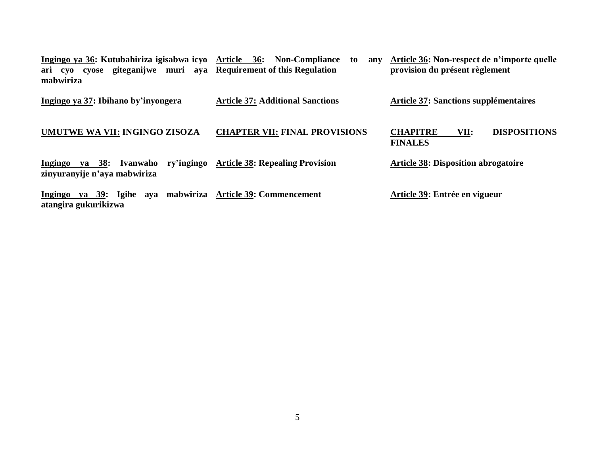| Ingingo ya 36: Kutubahiriza igisabwa icyo Article 36: Non-Compliance<br>ari cyo cyose giteganijwe muri aya Requirement of this Regulation<br>mabwiriza | to<br>anv                               | Article 36: Non-respect de n'importe quelle<br>provision du présent règlement |
|--------------------------------------------------------------------------------------------------------------------------------------------------------|-----------------------------------------|-------------------------------------------------------------------------------|
| Ingingo ya 37: Ibihano by'inyongera                                                                                                                    | <b>Article 37: Additional Sanctions</b> | <b>Article 37: Sanctions supplémentaires</b>                                  |
| UMUTWE WA VII: INGINGO ZISOZA                                                                                                                          | <b>CHAPTER VII: FINAL PROVISIONS</b>    | <b>DISPOSITIONS</b><br><b>CHAPITRE</b><br>VII:<br><b>FINALES</b>              |
| ry'ingingo<br>ya 38: Ivanwaho<br>Ingingo<br>zinyuranyije n'aya mabwiriza                                                                               | <b>Article 38: Repealing Provision</b>  | <b>Article 38: Disposition abrogatoire</b>                                    |
| ya 39: Igihe aya mabwiriza Article 39: Commencement<br>Ingingo<br>atangira gukurikizwa                                                                 |                                         | Article 39: Entrée en vigueur                                                 |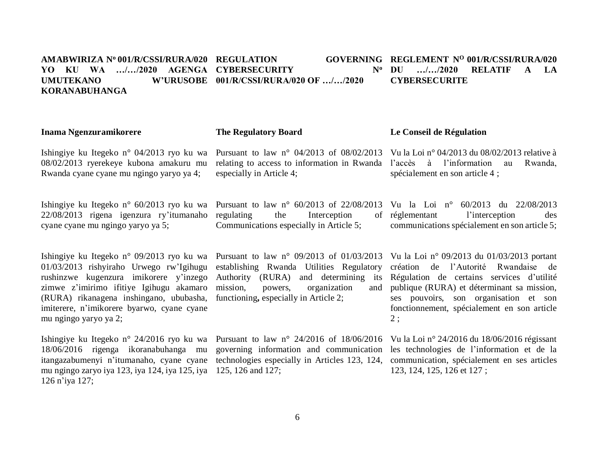#### **AMABWIRIZA N<sup>o</sup>001/R/CSSI/RURA/020 REGULATION GOVERNING YO KU WA …/…/2020 AGENGA CYBERSECURITY N<sup>o</sup> UMUTEKANO W'URUSOBE 001/R/CSSI/RURA/020 OF …/…/2020 KORANABUHANGA REGLEMENT N<sup>O</sup>001/R/CSSI/RURA/020**

#### **The Regulatory Board**

Ishingiye ku Itegeko n° 04/2013 ryo ku wa 08/02/2013 ryerekeye kubona amakuru mu Rwanda cyane cyane mu ngingo yaryo ya 4;

**Inama Ngenzuramikorere** 

Ishingiye ku Itegeko n° 60/2013 ryo ku wa 22/08/2013 rigena igenzura ry'itumanaho cyane cyane mu ngingo yaryo ya 5;

Ishingiye ku Itegeko n° 09/2013 ryo ku wa 01/03/2013 rishyiraho Urwego rw'Igihugu rushinzwe kugenzura imikorere y'inzego zimwe z'imirimo ifitiye Igihugu akamaro (RURA) rikanagena inshingano, ububasha, imiterere, n'imikorere byarwo, cyane cyane mu ngingo yaryo ya 2;

Ishingiye ku Itegeko n° 24/2016 ryo ku wa 18/06/2016 rigenga ikoranabuhanga mu itangazabumenyi n'itumanaho, cyane cyane mu ngingo zaryo iya 123, iya 124, iya 125, iya 125, 126 and 127; 126 n'iya 127;

especially in Article 4;

regulating the Interception Communications especially in Article 5; **Le Conseil de Régulation**

Pursuant to law n° 04/2013 of 08/02/2013 Vu la Loi n° 04/2013 du 08/02/2013 relative à relating to access to information in Rwanda l'accès à l'information au Rwanda, spécialement en son article 4 ;

Pursuant to law n° 60/2013 of 22/08/2013 Vu la Loi n° 60/2013 du 22/08/2013 réglementant l'interception des communications spécialement en son article 5;

Pursuant to law n° 09/2013 of 01/03/2013 Vu la Loi n° 09/2013 du 01/03/2013 portant establishing Rwanda Utilities Regulatory Authority (RURA) and determining its mission, powers, organization and functioning**,** especially in Article 2;

création de l'Autorité Rwandaise de Régulation de certains services d'utilité publique (RURA) et déterminant sa mission, ses pouvoirs, son organisation et son fonctionnement, spécialement en son article 2 ;

Pursuant to law n° 24/2016 of 18/06/2016 Vu la Loi n° 24/2016 du 18/06/2016 régissant governing information and communication les technologies de l'information et de la technologies especially in Articles 123, 124, communication, spécialement en ses articles 123, 124, 125, 126 et 127 ;

### **DU …/…/2020 RELATIF A LA CYBERSECURITE**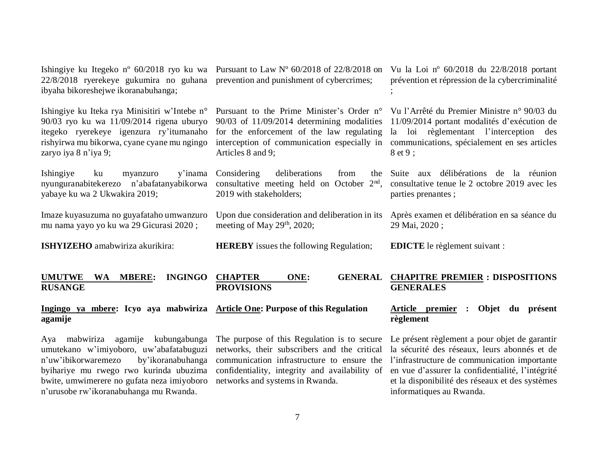| Ingingo ya mbere: Icyo aya mabwiriza Article One: Purpose of this Regulation<br>agamije                                                                                                                       |                                                                                                                        | <b>Article premier</b><br>Objet<br>du présent<br>$\ddot{\cdot}$<br>règlement                                                                                                                                                                                                                                                                                               |
|---------------------------------------------------------------------------------------------------------------------------------------------------------------------------------------------------------------|------------------------------------------------------------------------------------------------------------------------|----------------------------------------------------------------------------------------------------------------------------------------------------------------------------------------------------------------------------------------------------------------------------------------------------------------------------------------------------------------------------|
| <b>INGINGO</b><br><b>MBERE:</b><br><b>UMUTWE</b><br>WA<br><b>RUSANGE</b>                                                                                                                                      | <b>CHAPTER</b><br>ONE:<br><b>GENERAL</b><br><b>PROVISIONS</b>                                                          | <b>CHAPITRE PREMIER : DISPOSITIONS</b><br><b>GENERALES</b>                                                                                                                                                                                                                                                                                                                 |
| ISHYIZEHO amabwiriza akurikira:                                                                                                                                                                               | <b>HEREBY</b> issues the following Regulation;                                                                         | <b>EDICTE</b> le règlement suivant :                                                                                                                                                                                                                                                                                                                                       |
| Imaze kuyasuzuma no guyafataho umwanzuro<br>mu nama yayo yo ku wa 29 Gicurasi 2020;                                                                                                                           | Upon due consideration and deliberation in its<br>meeting of May $29th$ , 2020;                                        | Après examen et délibération en sa séance du<br>29 Mai, 2020;                                                                                                                                                                                                                                                                                                              |
| Ishingiye<br>y'inama<br>ku<br>myanzuro<br>nyunguranabitekerezo n'abafatanyabikorwa<br>yabaye ku wa 2 Ukwakira 2019;                                                                                           | Considering<br>deliberations<br>from<br>the<br>consultative meeting held on October $2nd$ ,<br>2019 with stakeholders; | Suite aux délibérations de la réunion<br>consultative tenue le 2 octobre 2019 avec les<br>parties prenantes;                                                                                                                                                                                                                                                               |
| Ishingiye ku Iteka rya Minisitiri w'Intebe n°<br>$90/03$ ryo ku wa 11/09/2014 rigena uburyo<br>itegeko ryerekeye igenzura ry'itumanaho<br>rishyirwa mu bikorwa, cyane cyane mu ngingo<br>zaryo iya 8 n'iya 9; | Articles 8 and 9;                                                                                                      | Pursuant to the Prime Minister's Order n° Vu l'Arrêté du Premier Ministre n° 90/03 du<br>90/03 of 11/09/2014 determining modalities 11/09/2014 portant modalités d'exécution de<br>for the enforcement of the law regulating la loi règlementant l'interception des<br>interception of communication especially in communications, spécialement en ses articles<br>8 et 9; |
| 22/8/2018 ryerekeye gukumira no guhana prevention and punishment of cybercrimes;<br>ibyaha bikoreshejwe ikoranabuhanga;                                                                                       | Ishingiye ku Itegeko n° 60/2018 ryo ku wa Pursuant to Law N° 60/2018 of 22/8/2018 on                                   | Vu la Loi nº 60/2018 du 22/8/2018 portant<br>prévention et répression de la cybercriminalité                                                                                                                                                                                                                                                                               |

Aya mabwiriza agamije kubungabunga umutekano w'imiyoboro, uw'abafatabuguzi n'uw'ibikorwaremezo by'ikoranabuhanga byihariye mu rwego rwo kurinda ubuzima bwite, umwimerere no gufata neza imiyoboro n'urusobe rw'ikoranabuhanga mu Rwanda.

The purpose of this Regulation is to secure networks, their subscribers and the critical communication infrastructure to ensure the confidentiality, integrity and availability of networks and systems in Rwanda.

### **règlement**

Le présent règlement a pour objet de garantir la sécurité des réseaux, leurs abonnés et de l'infrastructure de communication importante en vue d'assurer la confidentialité, l'intégrité et la disponibilité des réseaux et des systèmes informatiques au Rwanda.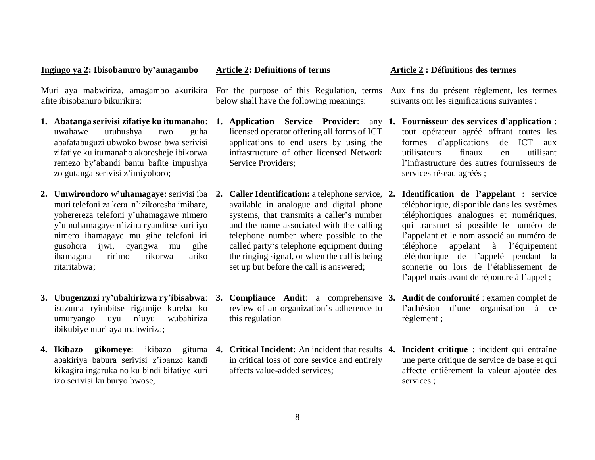#### **Ingingo ya 2: Ibisobanuro by'amagambo**

Muri aya mabwiriza, amagambo akurikira For the purpose of this Regulation, terms afite ibisobanuro bikurikira:

- **1. Abatanga serivisi zifatiye ku itumanaho**: uwahawe uruhushya rwo guha abafatabuguzi ubwoko bwose bwa serivisi zifatiye ku itumanaho akoresheje ibikorwa remezo by'abandi bantu bafite impushya zo gutanga serivisi z'imiyoboro;
- **2. Umwirondoro w'uhamagaye**: serivisi iba muri telefoni za kera n'izikoresha imibare, yoherereza telefoni y'uhamagawe nimero y'umuhamagaye n'izina ryanditse kuri iyo nimero ihamagaye mu gihe telefoni iri gusohora ijwi, cyangwa mu gihe ihamagara ririmo rikorwa ariko ritaritabwa;
- isuzuma ryimbitse rigamije kureba ko umuryango uyu n'uyu wubahiriza ibikubiye muri aya mabwiriza;
- **4. Ikibazo gikomeye**: ikibazo abakiriya babura serivisi z'ibanze kandi kikagira ingaruka no ku bindi bifatiye kuri izo serivisi ku buryo bwose,

#### **Article 2: Definitions of terms**

below shall have the following meanings:

- **1. Application Service Provider**: any licensed operator offering all forms of ICT applications to end users by using the infrastructure of other licensed Network Service Providers;
- **2. Caller Identification:** a [telephone](https://en.wikipedia.org/wiki/Telephone) service, available in analogue and digital phone systems, that transmits a [caller'](https://en.wikipedia.org/wiki/Caller_(telecommunications))s number and the name associated with the calling telephone number where possible to the [called party'](https://en.wikipedia.org/wiki/Called_party)s [telephone](https://en.wikipedia.org/wiki/Telephone) equipment during th[e ringing signal,](https://en.wikipedia.org/wiki/Ringing_signal) or when the call is being set up but before the call is answered;
- review of an organization's adherence to this regulation
- in critical loss of core service and entirely affects value-added services;

#### **Article 2 : Définitions des termes**

Aux fins du présent règlement, les termes suivants ont les significations suivantes :

- **1. Fournisseur des services d'application** : tout opérateur agréé offrant toutes les formes d'applications de ICT aux utilisateurs finaux en utilisant l'infrastructure des autres fournisseurs de services réseau agréés ;
- **2. Identification de l'appelant** : service téléphonique, disponible dans les systèmes téléphoniques analogues et numériques, qui transmet si possible le numéro de l'appelant et le nom associé au numéro de téléphone appelant à l'équipement téléphonique de l'appelé pendant la sonnerie ou lors de l'établissement de l'appel mais avant de répondre à l'appel ;
- **3. Ubugenzuzi ry'ubahirizwa ry'ibisabwa**: **3. Compliance Audit**: a comprehensive **3. Audit de conformité** : examen complet de l'adhésion d'une organisation à ce règlement ;
	- **4. Critical Incident:** An incident that results **4. Incident critique** : incident qui entraîne une perte critique de service de base et qui affecte entièrement la valeur ajoutée des services ;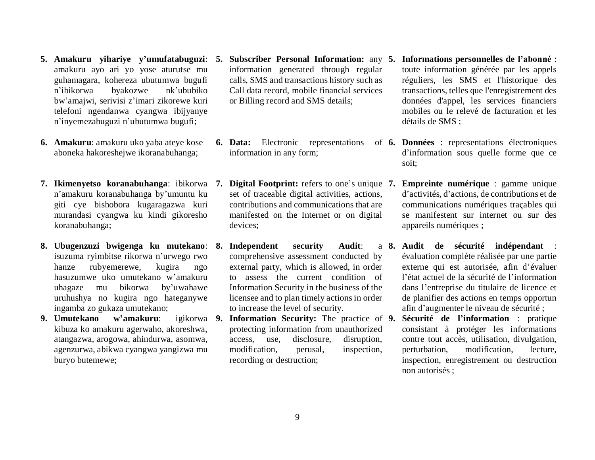- **5. Amakuru yihariye y'umufatabuguzi**: amakuru ayo ari yo yose aturutse mu guhamagara, kohereza ubutumwa bugufi n'ibikorwa byakozwe nk'ububiko bw'amajwi, serivisi z'imari zikorewe kuri telefoni ngendanwa cyangwa ibijyanye n'inyemezabuguzi n'ubutumwa bugufi;
- **6. Amakuru**: amakuru uko yaba ateye kose aboneka hakoreshejwe ikoranabuhanga;
- **7. Ikimenyetso koranabuhanga**: ibikorwa n'amakuru koranabuhanga by'umuntu ku giti cye bishobora kugaragazwa kuri murandasi cyangwa ku kindi gikoresho koranabuhanga;
- **8. Ubugenzuzi bwigenga ku mutekano**: isuzuma ryimbitse rikorwa n'urwego rwo hanze rubyemerewe, kugira ngo hasuzumwe uko umutekano w'amakuru uhagaze mu bikorwa by'uwahawe uruhushya no kugira ngo hateganywe ingamba zo gukaza umutekano;
- **9. Umutekano w'amakuru**: igikorwa kibuza ko amakuru agerwaho, akoreshwa, atangazwa, arogowa, ahindurwa, asomwa, agenzurwa, abikwa cyangwa yangizwa mu buryo butemewe;
- **5. Subscriber Personal Information:** any information generated through regular calls, SMS and transactions history such as Call data record, mobile financial services or Billing record and SMS details;
- information in any form;
- **Digital Footprint:** refers to one's unique 7. set of traceable digital activities, actions, contributions and communications that are manifested on the Internet or on digital devices;
- **8.** Independent security Audit: comprehensive assessment conducted by external party, which is allowed, in order to assess the current condition of Information Security in the business of the licensee and to plan timely actions in order to increase the level of security.
- **Information Security:** The practice of 9. protecting information from unauthorized access, use, disclosure, disruption, modification, perusal, inspection, recording or destruction;
- **5. Informations personnelles de l'abonné** : toute information générée par les appels réguliers, les SMS et l'historique des transactions, telles que l'enregistrement des données d'appel, les services financiers mobiles ou le relevé de facturation et les détails de SMS ;
- **6. Data:** Electronic representations of **6. Données** : representations électroniques d'information sous quelle forme que ce soit;
	- **7. Empreinte numérique** : gamme unique d'activités, d'actions, de contributions et de communications numériques traçables qui se manifestent sur internet ou sur des appareils numériques ;
	- **8. Audit de sécurité indépendant** : évaluation complète réalisée par une partie externe qui est autorisée, afin d'évaluer l'état actuel de la sécurité de l'information dans l'entreprise du titulaire de licence et de planifier des actions en temps opportun afin d'augmenter le niveau de sécurité ;
		- **9. Sécurité de l'information** : pratique consistant à protéger les informations contre tout accès, utilisation, divulgation, perturbation, modification, lecture, inspection, enregistrement ou destruction non autorisés ;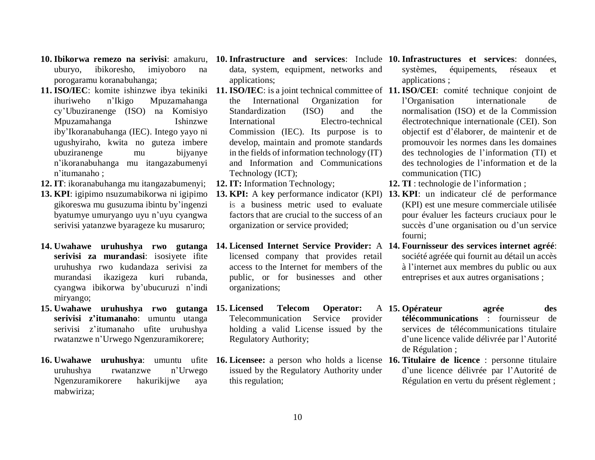- uburyo, ibikoresho, imiyoboro na porogaramu koranabuhanga;
- **11. ISO/IEC**: komite ishinzwe ibya tekiniki **11. ISO/IEC**: is a joint technical committee of **11. ISO/CEI**: comité technique conjoint de ihuriweho n'Ikigo Mpuzamahanga cy'Ubuziranenge (ISO) na Komisiyo Mpuzamahanga Ishinzwe iby'Ikoranabuhanga (IEC). Intego yayo ni ugushyiraho, kwita no guteza imbere ubuziranenge mu bijyanye n'ikoranabuhanga mu itangazabumenyi n'itumanaho ;
- **12. IT**: ikoranabuhanga mu itangazabumenyi;
- **13. KPI**: igipimo nsuzumabikorwa ni igipimo gikoreswa mu gusuzuma ibintu by'ingenzi byatumye umuryango uyu n'uyu cyangwa serivisi yatanzwe byarageze ku musaruro;
- **14. Uwahawe uruhushya rwo gutanga serivisi za murandasi**: isosiyete ifite uruhushya rwo kudandaza serivisi za murandasi ikazigeza kuri rubanda, cyangwa ibikorwa by'ubucuruzi n'indi miryango;
- **15. Uwahawe uruhushya rwo gutanga serivisi z'itumanaho**: umuntu utanga serivisi z'itumanaho ufite uruhushya rwatanzwe n'Urwego Ngenzuramikorere;
- **16. Uwahawe uruhushya**: umuntu ufite **16. Licensee:** a person who holds a license **16. Titulaire de licence** : personne titulaire uruhushya rwatanzwe n'Urwego Ngenzuramikorere hakurikijwe aya mabwiriza;
- **10. Ibikorwa remezo na serivisi**: amakuru, **10. Infrastructure and services**: Include **10. Infrastructures et services**: données, data, system, equipment, networks and applications;
	- the International Organization for Standardization (ISO) and the International Electro-technical Commission (IEC). Its purpose is to develop, maintain and promote standards in the fields of information technology (IT) and Information and Communications Technology (ICT);
	- **12. IT:** Information Technology;
	- **13. KPI:** A ke**y** performance indicator (KPI) **13. KPI**: un indicateur clé de performance is a business metric used to evaluate factors that are crucial to the success of an organization or service provided;
	- licensed company that provides retail [access](http://itlaw.wikia.com/wiki/Access) to the [Internet](http://itlaw.wikia.com/wiki/Internet) for members of the public, or for businesses and other organizations;
	- **15.** Licensed Telecom Operator: Telecommunication Service provider holding a valid License issued by the Regulatory Authority;
	- issued by the Regulatory Authority under this regulation;
- systèmes, équipements, réseaux et applications ;
- l'Organisation internationale de normalisation (ISO) et de la Commission électrotechnique internationale (CEI). Son objectif est d'élaborer, de maintenir et de promouvoir les normes dans les domaines des technologies de l'information (TI) et des technologies de l'information et de la communication (TIC)
- **12. TI** : technologie de l'information ;
- (KPI) est une mesure commerciale utilisée pour évaluer les facteurs cruciaux pour le succès d'une organisation ou d'un service fourni;
- **14. Licensed Internet Service Provider:** A **14. Fournisseur des services internet agréé**: société agréée qui fournit au détail un accès à l'internet aux membres du public ou aux entreprises et aux autres organisations ;
	- **15. Opérateur agrée des télécommunications** : fournisseur de services de télécommunications titulaire d'une licence valide délivrée par l'Autorité
		- de Régulation ;
		- d'une licence délivrée par l'Autorité de Régulation en vertu du présent règlement ;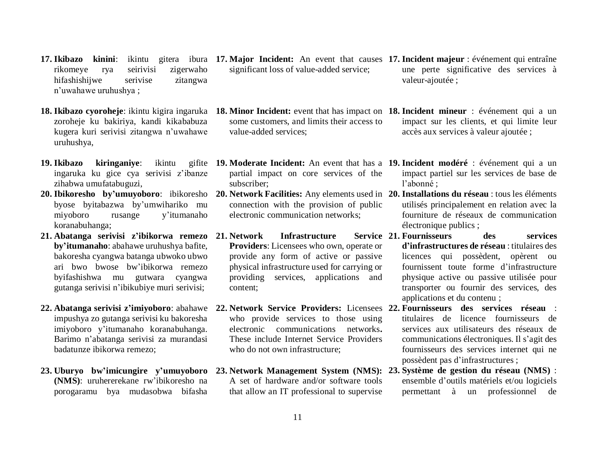- rikomeye rya seirivisi zigerwaho hifashishijwe serivise zitangwa n'uwahawe uruhushya ;
- **18. Ikibazo cyoroheje**: ikintu kigira ingaruka **18. Minor Incident:** event that has impact on **18. Incident mineur** : événement qui a un zoroheje ku bakiriya, kandi kikababuza kugera kuri serivisi zitangwa n'uwahawe uruhushya,
- **19. Ikibazo kiringaniye**: ikintu ingaruka ku gice cya serivisi z'ibanze zihabwa umufatabuguzi,
- byose byitabazwa by'umwihariko mu miyoboro rusange y'itumanaho koranabuhanga;
- **21. Abatanga serivisi z'ibikorwa remezo by'itumanaho**: abahawe uruhushya bafite, bakoresha cyangwa batanga ubwoko ubwo ari bwo bwose bw'ibikorwa remezo byifashishwa mu gutwara cyangwa gutanga serivisi n'ibikubiye muri serivisi;
- **22. Abatanga serivisi z'imiyoboro**: abahawe impushya zo gutanga serivisi ku bakoresha imiyoboro y'itumanaho koranabuhanga. Barimo n'abatanga serivisi za murandasi badatunze ibikorwa remezo;
- **23. Uburyo bw'imicungire y'umuyoboro (NMS)**: uruhererekane rw'ibikoresho na porogaramu bya mudasobwa bifasha
- **17. Ikibazo kinini**: ikintu gitera ibura **17. Major Incident:** An event that causes **17. Incident majeur** : événement qui entraîne significant loss of value-added service;
	- some customers, and limits their access to value-added services;
	- partial impact on core services of the subscriber;
	- connection with the provision of public electronic communication networks;
	- **1. Infrastructure Providers**: Licensees who own, operate or provide any form of active or passive physical infrastructure used for carrying or providing services, applications and content;
	- **22. Network Service Providers:** Licensees **22. Fournisseurs des services réseau** : who provide services to those using electronic communications networks**.**  These include Internet Service Providers who do not own infrastructure;
	- A set of hardware and/or software tools that allow an IT professional to supervise
- une perte significative des services à valeur-ajoutée ;
- impact sur les clients, et qui limite leur accès aux services à valeur ajoutée ;
- **19. Moderate Incident:** An event that has a **19. Incident modéré** : événement qui a un impact partiel sur les services de base de l'abonné ;
- **20. Ibikoresho by'umuyoboro**: ibikoresho **20. Network Facilities:** Any elements used in **20. Installations du réseau** : tous les éléments utilisés principalement en relation avec la fourniture de réseaux de communication électronique publics ;
	- **21. Fournisseurs des services d'infrastructures de réseau** : titulaires des licences qui possèdent, opèrent ou fournissent toute forme d'infrastructure physique active ou passive utilisée pour transporter ou fournir des services, des applications et du contenu ;
		- titulaires de licence fournisseurs de services aux utilisateurs des réseaux de communications électroniques. Il s'agit des fournisseurs des services internet qui ne possèdent pas d'infrastructures ;
	- **23. Network Management System (NMS): 23. Système de gestion du réseau (NMS)** : ensemble d'outils matériels et/ou logiciels permettant à un professionnel de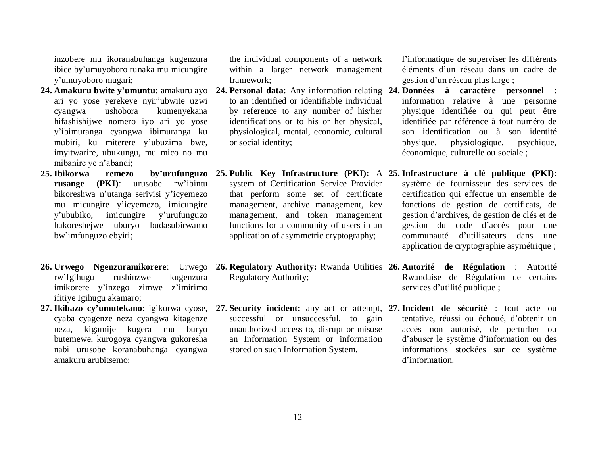inzobere mu ikoranabuhanga kugenzura ibice by'umuyoboro runaka mu micungire y'umuyoboro mugari;

- ari yo yose yerekeye nyir'ubwite uzwi cyangwa ushobora kumenyekana hifashishijwe nomero iyo ari yo yose y'ibimuranga cyangwa ibimuranga ku mubiri, ku miterere y'ubuzima bwe, imyitwarire, ubukungu, mu mico no mu mibanire ye n'abandi;
- **25. Ibikorwa remezo by'urufunguzo rusange (PKI)**: urusobe rw'ibintu bikoreshwa n'utanga serivisi y'icyemezo mu micungire y'icyemezo, imicungire y'ububiko, imicungire y'urufunguzo hakoreshejwe uburyo budasubirwamo bw'imfunguzo ebyiri;
- **26. Urwego Ngenzuramikorere**: Urwego **26. Regulatory Authority:** Rwanda Utilities **26. Autorité de Régulation** : Autorité rw'Igihugu rushinzwe kugenzura imikorere y'inzego zimwe z'imirimo ifitiye Igihugu akamaro;
- **27. Ikibazo cy'umutekano**: igikorwa cyose, cyaba cyagenze neza cyangwa kitagenze neza, kigamije kugera mu buryo butemewe, kurogoya cyangwa gukoresha nabi urusobe koranabuhanga cyangwa amakuru arubitsemo;

the individual components of a network within a larger network management framework;

- to an identified or identifiable individual by reference to any number of his/her identifications or to his or her physical, physiological, mental, economic, cultural or social identity;
- system of Certification Service Provider that perform some set of certificate management, archive management, key management, and token management functions for a community of users in an application of asymmetric cryptography;
- Regulatory Authority;
- successful or unsuccessful, to gain unauthorized access to, disrupt or misuse an Information System or information stored on such Information System.

l'informatique de superviser les différents éléments d'un réseau dans un cadre de gestion d'un réseau plus large ;

- **24. Amakuru bwite y'umuntu:** amakuru ayo **24. Personal data:** Any information relating **24. Données à caractère personnel** : information relative à une personne physique identifiée ou qui peut être identifiée par référence à tout numéro de son identification ou à son identité physique, physiologique, psychique, économique, culturelle ou sociale ;
	- **25. Public Key Infrastructure (PKI):** A **25. Infrastructure à clé publique (PKI)**: système de fournisseur des services de certification qui effectue un ensemble de fonctions de gestion de certificats, de gestion d'archives, de gestion de clés et de gestion du code d'accès pour une communauté d'utilisateurs dans une application de cryptographie asymétrique ;
		- Rwandaise de Régulation de certains services d'utilité publique ;
	- **27. Security incident:** any act or attempt, **27. Incident de sécurité** : tout acte ou tentative, réussi ou échoué, d'obtenir un accès non autorisé, de perturber ou d'abuser le système d'information ou des informations stockées sur ce système d'information.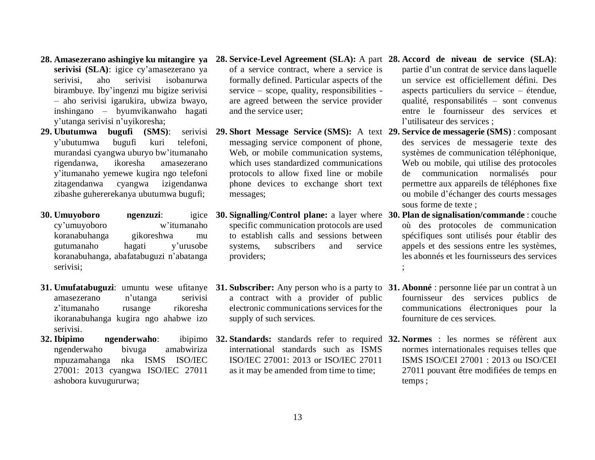- **28. Amasezerano ashingiye ku mitangire ya serivisi (SLA)**: igice cy'amasezerano ya serivisi, aho serivisi isobanurwa birambuye. Iby'ingenzi mu bigize serivisi – aho serivisi igarukira, ubwiza bwayo, inshingano – byumvikanwaho hagati y'utanga serivisi n'uyikoresha;
- **29. Ubutumwa** bugufi (SMS): y'ubutumwa bugufi kuri telefoni, murandasi cyangwa uburyo bw'itumanaho rigendanwa, ikoresha amasezerano y'itumanaho yemewe kugira ngo telefoni zitagendanwa cyangwa izigendanwa zibashe guhererekanya ubutumwa bugufi;
- **30. Umuyoboro ngenzuzi**: cy'umuyoboro w'itumanaho koranabuhanga gikoreshwa mu gutumanaho hagati y'urusobe koranabuhanga, abafatabuguzi n'abatanga serivisi;
- **31. Umufatabuguzi**: umuntu wese ufitanye **31. Subscriber:** Any person who is a party to **31. Abonné** : personne liée par un contrat à un amasezerano n'utanga serivisi z'itumanaho rusange rikoresha ikoranabuhanga kugira ngo ahabwe izo serivisi.
- **32. Ibipimo ngenderwaho**: ngenderwaho bivuga amabwiriza mpuzamahanga nka ISMS ISO/IEC 27001: 2013 cyangwa ISO/IEC 27011 ashobora kuvugururwa;
- of a service contract, where a service is formally defined. Particular aspects of the service – scope, quality, responsibilities are agreed between the service provider and the service user;
- **29. Short Message Service (SMS):** A text **29. Service de messagerie (SMS)** : composant messaging service component of phone, Web, or mobile communication systems. which uses standardized [communications](https://en.wikipedia.org/wiki/Communications_protocols)  [protocols](https://en.wikipedia.org/wiki/Communications_protocols) to allow [fixed line](https://en.wikipedia.org/wiki/Fixed_line) or mobile phone devices to exchange short text messages;
- **30. Signalling/Control plane:** a layer where **30. Plan de signalisation/commande** : couche specific communication protocols are used to establish calls and sessions between systems, subscribers and service providers;
- a contract with a provider of public electronic communications services for the supply of such services.
- international standards such as ISMS ISO/IEC 27001: 2013 or ISO/IEC 27011 as it may be amended from time to time;
- **28. Service-Level Agreement (SLA):** A part **28. Accord de niveau de service (SLA)**: partie d'un contrat de service dans laquelle un service est officiellement défini. Des aspects particuliers du service – étendue, qualité, responsabilités – sont convenus entre le fournisseur des services et l'utilisateur des services ;
	- des services de messagerie texte des systèmes de communication téléphonique, Web ou mobile, qui utilise des protocoles de communication normalisés pour permettre aux appareils de téléphones fixe ou mobile d'échanger des courts messages sous forme de texte ;
	- où des protocoles de communication spécifiques sont utilisés pour établir des appels et des sessions entre les systèmes, les abonnés et les fournisseurs des services ;
	- fournisseur des services publics de communications électroniques pour la fourniture de ces services.
- **32. Standards:** standards refer to required **32. Normes** : les normes se réfèrent aux normes internationales requises telles que ISMS ISO/CEI 27001 : 2013 ou ISO/CEI 27011 pouvant être modifiées de temps en temps ;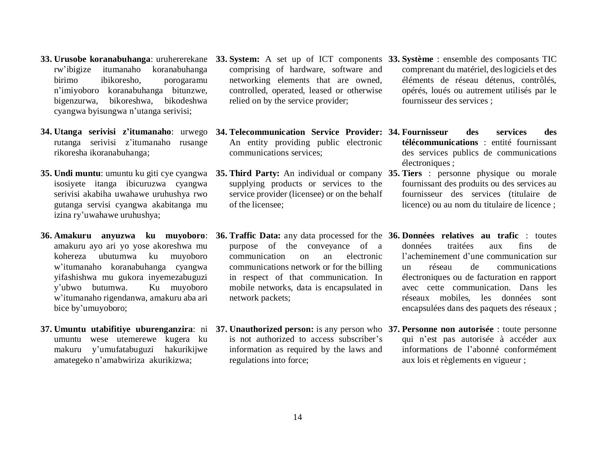- rw'ibigize itumanaho koranabuhanga birimo ibikoresho, porogaramu n'imiyoboro koranabuhanga bitunzwe, bigenzurwa, bikoreshwa, bikodeshwa cyangwa byisungwa n'utanga serivisi;
- **34. Utanga serivisi z'itumanaho**: urwego **34. Telecommunication Service Provider: 34. Fournisseur des services des** rutanga serivisi z'itumanaho rusange rikoresha ikoranabuhanga;
- **35. Undi muntu**: umuntu ku giti cye cyangwa isosiyete itanga ibicuruzwa cyangwa serivisi akabiha uwahawe uruhushya rwo gutanga servisi cyangwa akabitanga mu izina ry'uwahawe uruhushya;
- **36. Amakuru anyuzwa ku muyoboro**: amakuru ayo ari yo yose akoreshwa mu kohereza ubutumwa ku muyoboro w'itumanaho koranabuhanga cyangwa yifashishwa mu gukora inyemezabuguzi y'ubwo butumwa. Ku muyoboro w'itumanaho rigendanwa, amakuru aba ari bice by'umuyoboro;
- umuntu wese utemerewe kugera ku makuru y'umufatabuguzi hakurikijwe amategeko n'amabwiriza akurikizwa;
- comprising of hardware, software and networking elements that are owned, controlled, operated, leased or otherwise relied on by the service provider;
- An entity providing public electronic communications services;
- **35. Third Party:** An individual or company **35. Tiers** : personne physique ou morale supplying products or services to the service provider (licensee) or on the behalf of the licensee;
- **36. Traffic Data:** any data processed for the **36. Données relatives au trafic** : toutes purpose of the conveyance of a communication on an electronic communications network or for the billing in respect of that communication. In mobile networks, data is encapsulated in network packets;
- **37. Umuntu utabifitiye uburenganzira**: ni **37. Unauthorized person:** is any person who **37. Personne non autorisée** : toute personne is not authorized to access subscriber's information as required by the laws and regulations into force;
- **33. Urusobe koranabuhanga**: uruhererekane **33. System:** A set up of ICT components **33. Système** : ensemble des composants TIC comprenant du matériel, des logiciels et des éléments de réseau détenus, contrôlés, opérés, loués ou autrement utilisés par le fournisseur des services ;
	- **télécommunications** : entité fournissant des services publics de communications électroniques ;
	- fournissant des produits ou des services au fournisseur des services (titulaire de licence) ou au nom du titulaire de licence ;
	- données traitées aux fins de l'acheminement d'une communication sur un réseau de communications électroniques ou de facturation en rapport avec cette communication. Dans les réseaux mobiles, les données sont encapsulées dans des paquets des réseaux ;
	- qui n'est pas autorisée à accéder aux informations de l'abonné conformément aux lois et règlements en vigueur ;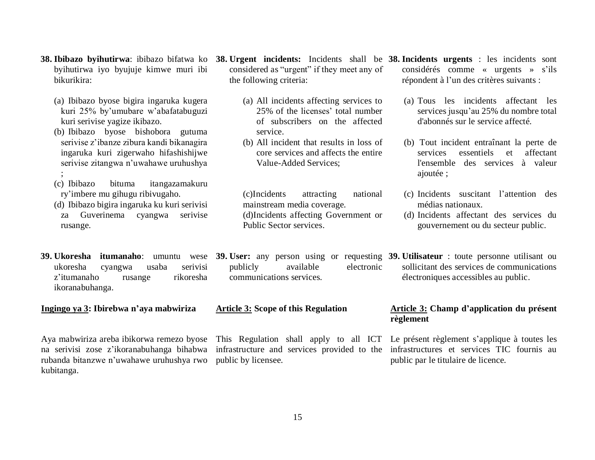- **38. Ibibazo byihutirwa**: ibibazo bifatwa ko **38. Urgent incidents:** Incidents shall be **38. Incidents urgents** : les incidents sont byihutirwa iyo byujuje kimwe muri ibi bikurikira:
	- (a) Ibibazo byose bigira ingaruka kugera kuri 25% by'umubare w'abafatabuguzi kuri serivise yagize ikibazo.
	- (b) Ibibazo byose bishobora gutuma serivise z'ibanze zibura kandi bikanagira ingaruka kuri zigerwaho hifashishijwe serivise zitangwa n'uwahawe uruhushya ;
	- (c) Ibibazo bituma itangazamakuru ry'imbere mu gihugu ribivugaho.
	- (d) Ibibazo bigira ingaruka ku kuri serivisi za Guverinema cyangwa serivise rusange.
- ukoresha cyangwa usaba serivisi z'itumanaho rusange rikoresha ikoranabuhanga.

**Ingingo ya 3: Ibirebwa n'aya mabwiriza**

Aya mabwiriza areba ibikorwa remezo byose na serivisi zose z'ikoranabuhanga bihabwa infrastructure and services provided to the infrastructures et services TIC fournis au rubanda bitanzwe n'uwahawe uruhushya rwo public by licensee. kubitanga.

- considered as "urgent" if they meet any of the following criteria:
	- (a) All incidents affecting services to 25% of the licenses' total number of subscribers on the affected service.
	- (b) All incident that results in loss of core services and affects the entire Value-Added Services;

(c)Incidents attracting national mainstream media coverage. (d)Incidents affecting Government or Public Sector services.

considérés comme « urgents » s'ils répondent à l'un des critères suivants :

- (a) Tous les incidents affectant les services jusqu'au 25% du nombre total d'abonnés sur le service affecté.
- (b) Tout incident entraînant la perte de services essentiels et affectant l'ensemble des services à valeur ajoutée ;
- (c) Incidents suscitant l'attention des médias nationaux.
- (d) Incidents affectant des services du gouvernement ou du secteur public.

**39. Ukoresha itumanaho**: umuntu wese **39. User:** any person using or requesting **39. Utilisateur** : toute personne utilisant ou publicly available electronic sollicitant des services de communications électroniques accessibles au public.

#### **Article 3: Scope of this Regulation**

communications services.

#### **Article 3: Champ d'application du présent règlement**

This Regulation shall apply to all ICT Le présent règlement s'applique à toutes les public par le titulaire de licence.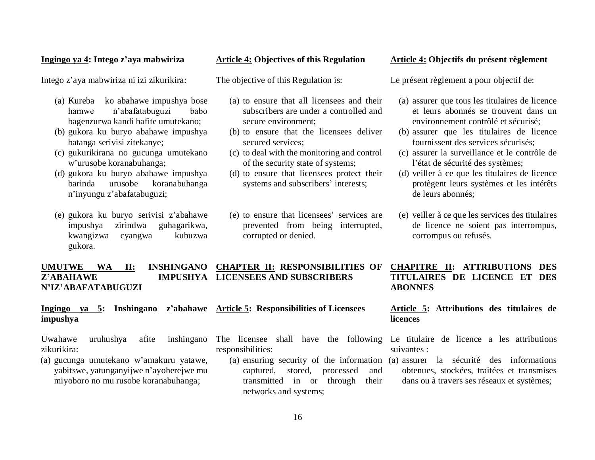#### **Ingingo ya 4: Intego z'aya mabwiriza**

Intego z'aya mabwiriza ni izi zikurikira:

- (a) Kureba ko abahawe impushya bose hamwe n'abafatabuguzi babo bagenzurwa kandi bafite umutekano;
- (b) gukora ku buryo abahawe impushya batanga serivisi zitekanye;
- (c) gukurikirana no gucunga umutekano w'urusobe koranabuhanga;
- (d) gukora ku buryo abahawe impushya barinda urusobe koranabuhanga n'inyungu z'abafatabuguzi;
- (e) gukora ku buryo serivisi z'abahawe impushya zirindwa guhagarikwa, kwangizwa cyangwa kubuzwa gukora.

#### **Article 4: Objectives of this Regulation**

The objective of this Regulation is:

- (a) to ensure that all licensees and their subscribers are under a controlled and secure environment;
- (b) to ensure that the licensees deliver secured services;
- (c) to deal with the monitoring and control of the security state of systems;
- (d) to ensure that licensees protect their systems and subscribers' interests;
- (e) to ensure that licensees' services are prevented from being interrupted, corrupted or denied.

#### **Article 4: Objectifs du présent règlement**

Le présent règlement a pour objectif de:

- (a) assurer que tous les titulaires de licence et leurs abonnés se trouvent dans un environnement contrôlé et sécurisé;
- (b) assurer que les titulaires de licence fournissent des services sécurisés;
- (c) assurer la surveillance et le contrôle de l'état de sécurité des systèmes;
- (d) veiller à ce que les titulaires de licence protègent leurs systèmes et les intérêts de leurs abonnés;
- (e) veiller à ce que les services des titulaires de licence ne soient pas interrompus, corrompus ou refusés.

#### **UMUTWE WA II: INSHINGANO CHAPTER II: RESPONSIBILITIES OF Z'ABAHAWE N'IZ'ABAFATABUGUZI LICENSEES AND SUBSCRIBERS**

|          |  |  | Ingingo ya 5: Inshingano z'abahawe Article 5: Responsibilities of Licensees |
|----------|--|--|-----------------------------------------------------------------------------|
| impushya |  |  |                                                                             |

Uwahawe uruhushya afite inshingano zikurikira:

- (a) gucunga umutekano w'amakuru yatawe, yabitswe, yatunganyijwe n'ayoherejwe mu miyoboro no mu rusobe koranabuhanga;
- responsibilities:
	- captured, stored, processed and transmitted in or through their networks and systems;

**CHAPITRE II: ATTRIBUTIONS DES TITULAIRES DE LICENCE ET DES ABONNES**

#### **Article 5: Attributions des titulaires de licences**

- The licensee shall have the following Le titulaire de licence a les attributions suivantes :
	- (a) ensuring security of the information (a) assurer la sécurité des informations obtenues, stockées, traitées et transmises dans ou à travers ses réseaux et systèmes;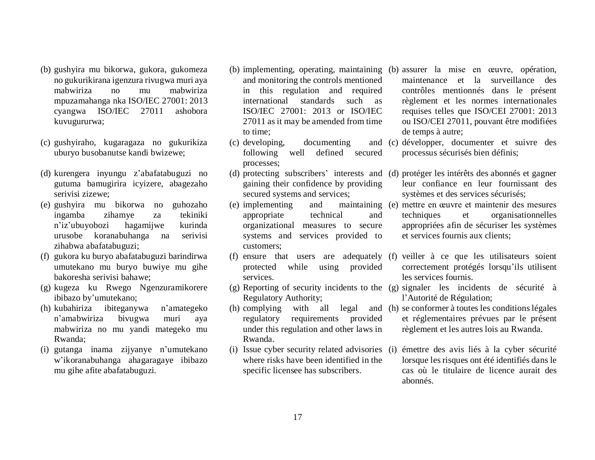- (b) gushyira mu bikorwa, gukora, gukomeza no gukurikirana igenzura rivugwa muri aya mabwiriza no mu mabwiriza mpuzamahanga nka ISO/IEC 27001: 2013 cyangwa ISO/IEC 27011 ashobora kuvugururwa;
- (c) gushyiraho, kugaragaza no gukurikiza uburyo busobanutse kandi bwizewe;
- (d) kurengera inyungu z'abafatabuguzi no gutuma bamugirira icyizere, abagezaho serivisi zizewe;
- (e) gushyira mu bikorwa no guhozaho ingamba zihamye za tekiniki n'iz'ubuyobozi hagamijwe kurinda urusobe koranabuhanga na serivisi zihabwa abafatabuguzi;
- (f) gukora ku buryo abafatabuguzi barindirwa umutekano mu buryo buwiye mu gihe bakoresha serivisi bahawe;
- (g) kugeza ku Rwego Ngenzuramikorere ibibazo by'umutekano;
- (h) kubahiriza ibiteganywa n'amategeko n'amabwiriza bivugwa muri aya mabwiriza no mu yandi mategeko mu Rwanda;
- (i) gutanga inama zijyanye n'umutekano w'ikoranabuhanga ahagaragaye ibibazo mu gihe afite abafatabuguzi.
- and monitoring the controls mentioned in this regulation and required international standards such as ISO/IEC 27001: 2013 or ISO/IEC 27011 asit may be amended from time to time;
- $(c)$  developing, documenting following well defined secured processes;
- gaining their confidence by providing secured systems and services;
- $(e)$  implementing and appropriate technical and organizational measures to secure systems and services provided to customers;
- (f) ensure that users are adequately protected while using provided services.
- Regulatory Authority;
- $(h)$  complying with all legal regulatory requirements provided under this regulation and other laws in Rwanda.
- where risks have been identified in the specific licensee has subscribers.
- (b) implementing, operating, maintaining (b) assurer la mise en œuvre, opération, maintenance et la surveillance des contrôles mentionnés dans le présent règlement et les normes internationales requises telles que ISO/CEI 27001: 2013 ou ISO/CEI 27011, pouvant être modifiées de temps à autre;
	- (c) développer, documenter et suivre des processus sécurisés bien définis;
- (d) protecting subscribers' interests and (d) protéger les intérêts des abonnés et gagner leur confiance en leur fournissant des systèmes et des services sécurisés;
	- (e) mettre en œuvre et maintenir des mesures techniques et organisationnelles appropriées afin de sécuriser les systèmes et services fournis aux clients;
		- (f) veiller à ce que les utilisateurs soient correctement protégés lorsqu'ils utilisent les services fournis.
- (g) Reporting of security incidents to the (g) signaler les incidents de sécurité à l'Autorité de Régulation;
	- (h) se conformer à toutes les conditionslégales et réglementaires prévues par le présent règlement et les autres lois au Rwanda.
- (i) Issue cyber security related advisories (i) émettre des avis liés à la cyber sécurité lorsque les risques ont été identifiés dans le cas où le titulaire de licence aurait des abonnés.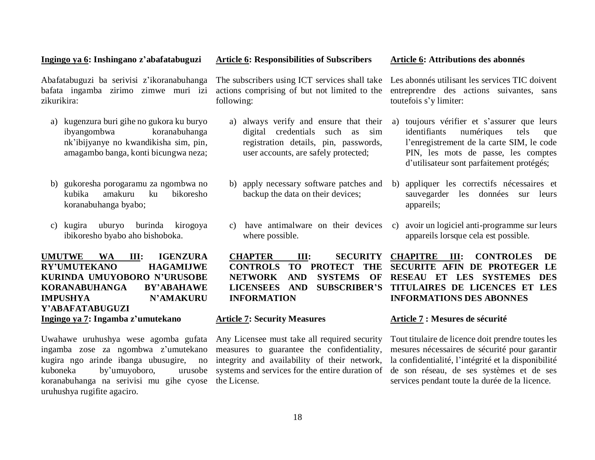#### registration details, pin, passwords, user accounts, are safely protected;

actions comprising of but not limited to the

a) always verify and ensure that their digital credentials such as sim

following:

- b) apply necessary software patches and b) backup the data on their devices;
- where possible.

**CHAPTER III: SECURITY CONTROLS TO PROTECT THE INFORMATION**

#### **Article 7: Security Measures**

Any Licensee must take all required security measures to guarantee the confidentiality, integrity and availability of their network, systems and services for the entire duration of the License.

#### The subscribers using ICT services shall take Les abonnés utilisant les services TIC doivent entreprendre des actions suivantes, sans toutefois s'y limiter:

- a) toujours vérifier et s'assurer que leurs identifiants numériques tels que l'enregistrement de la carte SIM, le code PIN, les mots de passe, les comptes d'utilisateur sont parfaitement protégés;
- b) appliquer les correctifs nécessaires et sauvegarder les données sur leurs appareils;
- c) have antimalware on their devices c) avoir un logiciel anti-programme sur leurs appareils lorsque cela est possible.

**NETWORK AND SYSTEMS OF RESEAU ET LES SYSTEMES DES LICENSEES AND SUBSCRIBER'S TITULAIRES DE LICENCES ET LES CHAPITRE III: CONTROLES DE SECURITE AFIN DE PROTEGER LE INFORMATIONS DES ABONNES**

#### **Article 7 : Mesures de sécurité**

Tout titulaire de licence doit prendre toutes les mesures nécessaires de sécurité pour garantir la confidentialité, l'intégrité et la disponibilité de son réseau, de ses systèmes et de ses services pendant toute la durée de la licence.

Abafatabuguzi ba serivisi z'ikoranabuhanga bafata ingamba zirimo zimwe muri izi zikurikira:

- a) kugenzura buri gihe no gukora ku buryo ibyangombwa koranabuhanga nk'ibijyanye no kwandikisha sim, pin, amagambo banga, konti bicungwa neza;
- b) gukoresha porogaramu za ngombwa no kubika amakuru ku bikoresho koranabuhanga byabo;
- c) kugira uburyo burinda kirogoya ibikoresho byabo aho bishoboka.

**UMUTWE WA III: IGENZURA RY'UMUTEKANO HAGAMIJWE KURINDA UMUYOBORO N'URUSOBE KORANABUHANGA BY'ABAHAWE IMPUSHYA N'AMAKURU Y'ABAFATABUGUZI Ingingo ya 7: Ingamba z'umutekano**

Uwahawe uruhushya wese agomba gufata ingamba zose za ngombwa z'umutekano kugira ngo arinde ibanga ubusugire, no kuboneka by'umuyoboro, urusobe koranabuhanga na serivisi mu gihe cyose uruhushya rugifite agaciro.

#### **Article 6: Attributions des abonnés**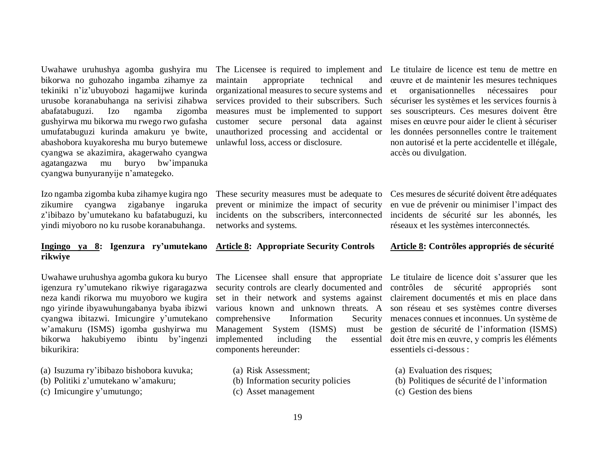Uwahawe uruhushya agomba gushyira mu bikorwa no guhozaho ingamba zihamye za tekiniki n'iz'ubuyobozi hagamijwe kurinda urusobe koranabuhanga na serivisi zihabwa abafatabuguzi. Izo ngamba zigomba gushyirwa mu bikorwa mu rwego rwo gufasha umufatabuguzi kurinda amakuru ye bwite, abashobora kuyakoresha mu buryo butemewe cyangwa se akazimira, akagerwaho cyangwa agatangazwa mu buryo bw'impanuka cyangwa bunyuranyije n'amategeko.

Izo ngamba zigomba kuba zihamye kugira ngo zikumire cyangwa zigabanye ingaruka z'ibibazo by'umutekano ku bafatabuguzi, ku yindi miyoboro no ku rusobe koranabuhanga.

#### **Ingingo ya 8: Igenzura ry'umutekano rikwiye**

Uwahawe uruhushya agomba gukora ku buryo igenzura ry'umutekano rikwiye rigaragazwa neza kandi rikorwa mu muyoboro we kugira ngo yirinde ibyawuhungabanya byaba ibizwi cyangwa ibitazwi. Imicungire y'umutekano w'amakuru (ISMS) igomba gushyirwa mu bikorwa hakubiyemo ibintu by'ingenzi bikurikira:

- (a) Isuzuma ry'ibibazo bishobora kuvuka;
- (b) Politiki z'umutekano w'amakuru;
- (c) Imicungire y'umutungo;

The Licensee is required to implement and maintain appropriate technical and organizational measures to secure systems and services provided to their subscribers. Such measures must be implemented to support customer secure personal data against unauthorized processing and accidental or unlawful loss, access or disclosure.

Le titulaire de licence est tenu de mettre en œuvre et de maintenir les mesures techniques et organisationnelles nécessaires pour sécuriser les systèmes et les services fournis à ses souscripteurs. Ces mesures doivent être mises en œuvre pour aider le client à sécuriser les données personnelles contre le traitement non autorisé et la perte accidentelle et illégale, accès ou divulgation.

These security measures must be adequate to prevent or minimize the impact of security incidents on the subscribers, interconnected networks and systems.

**Article 8: Appropriate Security Controls**

The Licensee shall ensure that appropriate security controls are clearly documented and set in their network and systems against various known and unknown threats. A comprehensive Information Security Management System (ISMS) implemented including the components hereunder:

- (a) Risk Assessment;
- (b) Information security policies
- (c) Asset management

incidents de sécurité sur les abonnés, les réseaux et les systèmes interconnectés.

Ces mesures de sécurité doivent être adéquates en vue de prévenir ou minimiser l'impact des

#### **Article 8: Contrôles appropriés de sécurité**

Le titulaire de licence doit s'assurer que les contrôles de sécurité appropriés sont clairement documentés et mis en place dans son réseau et ses systèmes contre diverses menaces connues et inconnues. Un système de must be gestion de sécurité de l'information (ISMS) doit être mis en œuvre, y compris les éléments essentiels ci-dessous :

- (a) Evaluation des risques;
- (b) Politiques de sécurité de l'information
- (c) Gestion des biens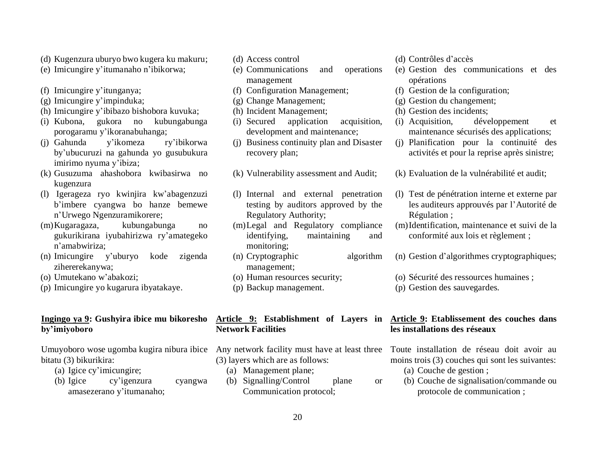- (d) Kugenzura uburyo bwo kugera ku makuru;
- (e) Imicungire y'itumanaho n'ibikorwa;
- (f) Imicungire y'itunganya;
- (g) Imicungire y'impinduka;
- (h) Imicungire y'ibibazo bishobora kuvuka;
- (i) Kubona, gukora no kubungabunga porogaramu y'ikoranabuhanga;
- (j) Gahunda y'ikomeza ry'ibikorwa by'ubucuruzi na gahunda yo gusubukura imirimo nyuma y'ibiza;
- (k) Gusuzuma ahashobora kwibasirwa no kugenzura
- (l) Igerageza ryo kwinjira kw'abagenzuzi b'imbere cyangwa bo hanze bemewe n'Urwego Ngenzuramikorere;
- (m)Kugaragaza, kubungabunga no gukurikirana iyubahirizwa ry'amategeko n'amabwiriza;
- (n) Imicungire y'uburyo kode zigenda zihererekanywa;
- (o) Umutekano w'abakozi;
- (p) Imicungire yo kugarura ibyatakaye.

#### **Ingingo ya 9: Gushyira ibice mu bikoresho by'imiyoboro**

Umuyoboro wose ugomba kugira nibura ibice Any network facility must have at least three Toute installation de réseau doit avoir au bitatu (3) bikurikira:

- (a) Igice cy'imicungire;
- (b) Igice cy'igenzura cyangwa amasezerano y'itumanaho;
- (d) Access control
- (e) Communications and operations management
- (f) Configuration Management;
- (g) Change Management;
- (h) Incident Management;
- (i) Secured application acquisition, development and maintenance;
- (j) Business continuity plan and Disaster recovery plan;
- (k) Vulnerability assessment and Audit;
- (l) Internal and external penetration testing by auditors approved by the Regulatory Authority;
- (m)Legal and Regulatory compliance identifying, maintaining and monitoring;
- (n) Cryptographic algorithm management;
- (o) Human resources security;
- (p) Backup management.

### **Network Facilities**

- (3) layers which are as follows:
	- (a) Management plane;
	- (b) Signalling/Control plane or Communication protocol;
- (d) Contrôles d'accès
- (e) Gestion des communications et des opérations
- (f) Gestion de la configuration;
- (g) Gestion du changement;
- (h) Gestion des incidents;
- (i) Acquisition, développement et maintenance sécurisés des applications;
- (j) Planification pour la continuité des activités et pour la reprise après sinistre;
- (k) Evaluation de la vulnérabilité et audit;
- (l) Test de pénétration interne et externe par les auditeurs approuvés par l'Autorité de Régulation ;
- (m)Identification, maintenance et suivi de la conformité aux lois et règlement ;
- (n) Gestion d'algorithmes cryptographiques;
- (o) Sécurité des ressources humaines ;
- (p) Gestion des sauvegardes.

#### **Article 9: Establishment of Layers in Article 9: Etablissement des couches dans les installations des réseaux**

moins trois (3) couches qui sont les suivantes:

- (a) Couche de gestion ;
- (b) Couche de signalisation/commande ou protocole de communication ;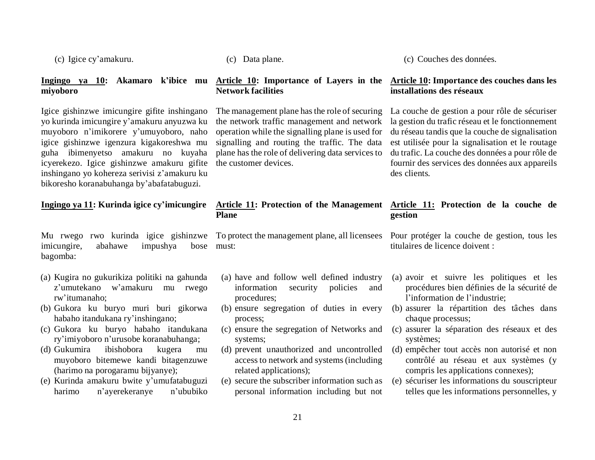(c) Igice cy'amakuru.

### **miyoboro**

Igice gishinzwe imicungire gifite inshingano yo kurinda imicungire y'amakuru anyuzwa ku muyoboro n'imikorere y'umuyoboro, naho igice gishinzwe igenzura kigakoreshwa mu guha ibimenyetso amakuru no kuyaha icyerekezo. Igice gishinzwe amakuru gifite inshingano yo kohereza serivisi z'amakuru ku bikoresho koranabuhanga by'abafatabuguzi.

### **Ingingo ya 11: Kurinda igice cy'imicungire**

Mu rwego rwo kurinda igice gishinzwe imicungire, abahawe impushya bose bagomba:

- (a) Kugira no gukurikiza politiki na gahunda z'umutekano w'amakuru mu rwego rw'itumanaho;
- (b) Gukora ku buryo muri buri gikorwa habaho itandukana ry'inshingano;
- (c) Gukora ku buryo habaho itandukana ry'imiyoboro n'urusobe koranabuhanga;
- (d) Gukumira ibishobora kugera mu muyoboro bitemewe kandi bitagenzuwe (harimo na porogaramu bijyanye);
- (e) Kurinda amakuru bwite y'umufatabuguzi harimo n'ayerekeranye n'ububiko

(c) Data plane.

### **Network facilities**

The management plane has the role of securing the network traffic management and network operation while the signalling plane is used for signalling and routing the traffic. The data plane has the role of delivering data services to the customer devices.

# **Plane**

must:

- (a) have and follow well defined industry information security policies and procedures;
- (b) ensure segregation of duties in every process;
- (c) ensure the segregation of Networks and systems;
- (d) prevent unauthorized and uncontrolled access to network and systems (including related applications);
- (e) secure the subscriber information such as personal information including but not

(c) Couches des données.

#### **Ingingo ya 10: Akamaro k'ibice mu Article 10: Importance of Layers in the Article 10: Importance des couches dans les installations des réseaux**

La couche de gestion a pour rôle de sécuriser la gestion du trafic réseau et le fonctionnement du réseau tandis que la couche de signalisation est utilisée pour la signalisation et le routage du trafic. La couche des données a pour rôle de fournir des services des données aux appareils des clients.

#### **Article 11: Protection of the Management Article 11: Protection de la couche de gestion**

To protect the management plane, all licensees Pour protéger la couche de gestion, tous les titulaires de licence doivent :

- (a) avoir et suivre les politiques et les procédures bien définies de la sécurité de l'information de l'industrie;
- (b) assurer la répartition des tâches dans chaque processus;
- (c) assurer la séparation des réseaux et des systèmes;
- (d) empêcher tout accès non autorisé et non contrôlé au réseau et aux systèmes (y compris les applications connexes);
- (e) sécuriser les informations du souscripteur telles que les informations personnelles, y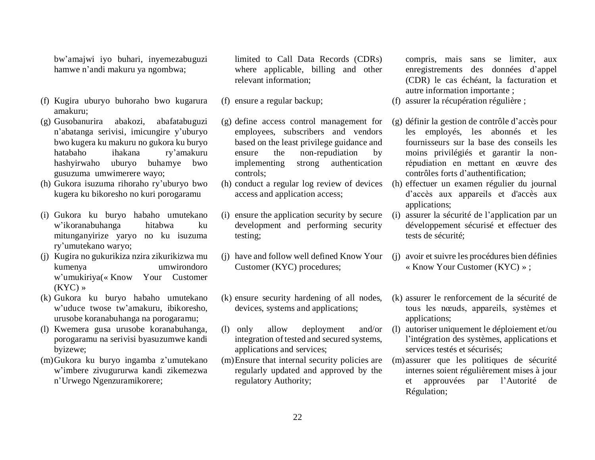bw'amajwi iyo buhari, inyemezabuguzi hamwe n'andi makuru ya ngombwa;

- (f) Kugira uburyo buhoraho bwo kugarura amakuru;
- (g) Gusobanurira abakozi, abafatabuguzi n'abatanga serivisi, imicungire y'uburyo bwo kugera ku makuru no gukora ku buryo hatabaho ihakana ry'amakuru hashyirwaho uburyo buhamye bwo gusuzuma umwimerere wayo;
- (h) Gukora isuzuma rihoraho ry'uburyo bwo kugera ku bikoresho no kuri porogaramu
- (i) Gukora ku buryo habaho umutekano w'ikoranabuhanga hitabwa ku mitunganyirize yaryo no ku isuzuma ry'umutekano waryo;
- (j) Kugira no gukurikiza nzira zikurikizwa mu kumenya umwirondoro w'umukiriya(« Know Your Customer  $(KYC)$  »
- (k) Gukora ku buryo habaho umutekano w'uduce twose tw'amakuru, ibikoresho, urusobe koranabuhanga na porogaramu;
- (l) Kwemera gusa urusobe koranabuhanga, porogaramu na serivisi byasuzumwe kandi byizewe;
- (m)Gukora ku buryo ingamba z'umutekano w'imbere zivugururwa kandi zikemezwa n'Urwego Ngenzuramikorere;

limited to Call Data Records (CDRs) where applicable, billing and other relevant information;

- (f) ensure a regular backup;
- (g) define access control management for employees, subscribers and vendors based on the least privilege guidance and ensure the non-repudiation by implementing strong authentication controls;
- (h) conduct a regular log review of devices access and application access;
- (i) ensure the application security by secure development and performing security testing;
- Customer (KYC) procedures;
- (k) ensure security hardening of all nodes, devices, systems and applications;
- (l) only allow deployment and/or integration of tested and secured systems, applications and services;
- (m)Ensure that internal security policies are regularly updated and approved by the regulatory Authority;

compris, mais sans se limiter, aux enregistrements des données d'appel (CDR) le cas échéant, la facturation et autre information importante ;

- (f) assurer la récupération régulière ;
- (g) définir la gestion de contrôle d'accès pour les employés, les abonnés et les fournisseurs sur la base des conseils les moins privilégiés et garantir la nonrépudiation en mettant en œuvre des contrôles forts d'authentification;
- (h) effectuer un examen régulier du journal d'accès aux appareils et d'accès aux applications;
- (i) assurer la sécurité de l'application par un développement sécurisé et effectuer des tests de sécurité;
- (j) have and follow well defined Know Your (j) avoir et suivre les procédures bien définies « Know Your Customer (KYC) » ;
	- (k) assurer le renforcement de la sécurité de tous les nœuds, appareils, systèmes et applications;
	- (l) autoriser uniquement le déploiement et/ou l'intégration des systèmes, applications et services testés et sécurisés;
	- (m)assurer que les politiques de sécurité internes soient régulièrement mises à jour et approuvées par l'Autorité de Régulation;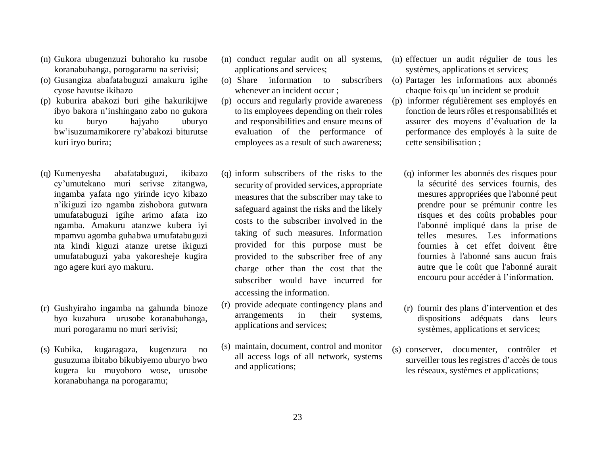- (n) Gukora ubugenzuzi buhoraho ku rusobe koranabuhanga, porogaramu na serivisi;
- (o) Gusangiza abafatabuguzi amakuru igihe cyose havutse ikibazo
- (p) kuburira abakozi buri gihe hakurikijwe ibyo bakora n'inshingano zabo no gukora ku buryo hajyaho uburyo bw'isuzumamikorere ry'abakozi biturutse kuri iryo burira;
- (q) Kumenyesha abafatabuguzi, ikibazo cy'umutekano muri serivse zitangwa, ingamba yafata ngo yirinde icyo kibazo n'ikiguzi izo ngamba zishobora gutwara umufatabuguzi igihe arimo afata izo ngamba. Amakuru atanzwe kubera iyi mpamvu agomba guhabwa umufatabuguzi nta kindi kiguzi atanze uretse ikiguzi umufatabuguzi yaba yakoresheje kugira ngo agere kuri ayo makuru.
- (r) Gushyiraho ingamba na gahunda binoze byo kuzahura urusobe koranabuhanga, muri porogaramu no muri serivisi;
- (s) Kubika, kugaragaza, kugenzura no gusuzuma ibitabo bikubiyemo uburyo bwo kugera ku muyoboro wose, urusobe koranabuhanga na porogaramu;
- (n) conduct regular audit on all systems, applications and services;
- whenever an incident occur ;
- (p) occurs and regularly provide awareness to its employees depending on their roles and responsibilities and ensure means of evaluation of the performance of employees as a result of such awareness;
- (q) inform subscribers of the risks to the security of provided services, appropriate measures that the subscriber may take to safeguard against the risks and the likely costs to the subscriber involved in the taking of such measures. Information provided for this purpose must be provided to the subscriber free of any charge other than the cost that the subscriber would have incurred for accessing the information.
- (r) provide adequate contingency plans and arrangements in their systems, applications and services;
- (s) maintain, document, control and monitor all access logs of all network, systems and applications;
- (n) effectuer un audit régulier de tous les systèmes, applications et services;
- (o) Share information to subscribers (o) Partager les informations aux abonnés chaque fois qu'un incident se produit
	- (p) informer régulièrement ses employés en fonction de leurs rôles et responsabilités et assurer des moyens d'évaluation de la performance des employés à la suite de cette sensibilisation ;
		- (q) informer les abonnés des risques pour la sécurité des services fournis, des mesures appropriées que l'abonné peut prendre pour se prémunir contre les risques et des coûts probables pour l'abonné impliqué dans la prise de telles mesures. Les informations fournies à cet effet doivent être fournies à l'abonné sans aucun frais autre que le coût que l'abonné aurait encouru pour accéder à l'information.
		- (r) fournir des plans d'intervention et des dispositions adéquats dans leurs systèmes, applications et services;
	- (s) conserver, documenter, contrôler et surveiller tous les registres d'accès de tous les réseaux, systèmes et applications;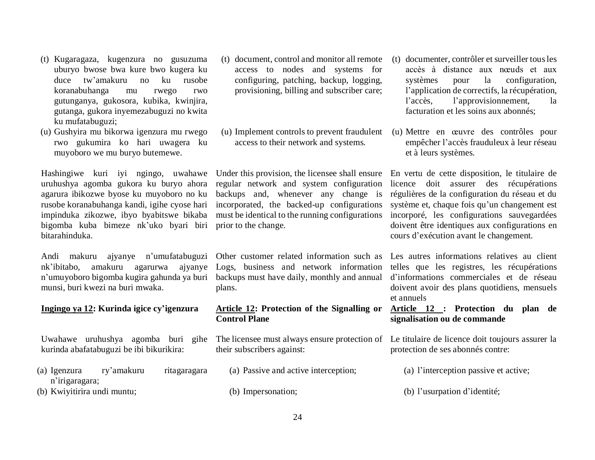- (t) Kugaragaza, kugenzura no gusuzuma uburyo bwose bwa kure bwo kugera ku duce tw'amakuru no ku rusobe koranabuhanga mu rwego rwo gutunganya, gukosora, kubika, kwinjira, gutanga, gukora inyemezabuguzi no kwita ku mufatabuguzi;
- (u) Gushyira mu bikorwa igenzura mu rwego rwo gukumira ko hari uwagera ku muyoboro we mu buryo butemewe.

Hashingiwe kuri iyi ngingo, uwahawe uruhushya agomba gukora ku buryo ahora agarura ibikozwe byose ku muyoboro no ku rusobe koranabuhanga kandi, igihe cyose hari impinduka zikozwe, ibyo byabitswe bikaba bigomba kuba bimeze nk'uko byari biri bitarahinduka.

Andi makuru ajyanye n'umufatabuguzi nk'ibitabo, amakuru agarurwa ajyanye n'umuyoboro bigomba kugira gahunda ya buri munsi, buri kwezi na buri mwaka.

#### **Ingingo ya 12: Kurinda igice cy'igenzura**

Uwahawe uruhushya agomba buri gihe kurinda abafatabuguzi be ibi bikurikira:

- (a) Igenzura ry'amakuru ritagaragara n'irigaragara;
- (b) Kwiyitirira undi muntu;
- (t) document, control and monitor all remote access to nodes and systems for configuring, patching, backup, logging, provisioning, billing and subscriber care;
- (u) Implement controls to prevent fraudulent access to their network and systems.

Under this provision, the licensee shall ensure regular network and system configuration backups and, whenever any change is incorporated, the backed-up configurations must be identical to the running configurations prior to the change.

Other customer related information such as Logs, business and network information backups must have daily, monthly and annual plans.

#### **Article 12: Protection of the Signalling or Control Plane**

their subscribers against:

- (a) Passive and active interception;
- (b) Impersonation;
- (t) documenter, contrôler et surveiller tous les accès à distance aux nœuds et aux systèmes pour la configuration, l'application de correctifs, la récupération, l'accès, l'approvisionnement, la facturation et les soins aux abonnés;
- (u) Mettre en œuvre des contrôles pour empêcher l'accès frauduleux à leur réseau et à leurs systèmes.

En vertu de cette disposition, le titulaire de licence doit assurer des récupérations régulières de la configuration du réseau et du système et, chaque fois qu'un changement est incorporé, les configurations sauvegardées doivent être identiques aux configurations en cours d'exécution avant le changement.

Les autres informations relatives au client telles que les registres, les récupérations d'informations commerciales et de réseau doivent avoir des plans quotidiens, mensuels et annuels

#### **Article 12 : Protection du plan de signalisation ou de commande**

The licensee must always ensure protection of Le titulaire de licence doit toujours assurer la protection de ses abonnés contre:

(a) l'interception passive et active;

(b) l'usurpation d'identité;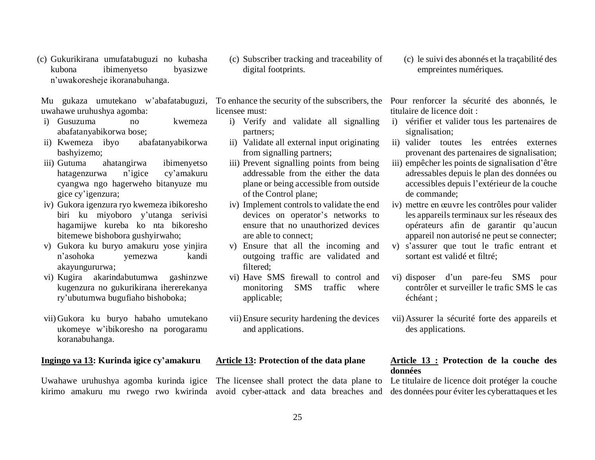(c) Gukurikirana umufatabuguzi no kubasha kubona ibimenyetso byasizwe n'uwakoresheje ikoranabuhanga.

Mu gukaza umutekano w'abafatabuguzi, uwahawe uruhushya agomba:

- i) Gusuzuma no kwemeza abafatanyabikorwa bose;
- ii) Kwemeza ibyo abafatanyabikorwa bashyizemo;
- iii) Gutuma ahatangirwa ibimenyetso hatagenzurwa n'igice cy'amakuru cyangwa ngo hagerweho bitanyuze mu gice cy'igenzura;
- iv) Gukora igenzura ryo kwemeza ibikoresho biri ku miyoboro y'utanga serivisi hagamijwe kureba ko nta bikoresho bitemewe bishobora gushyirwaho;
- v) Gukora ku buryo amakuru yose yinjira n'asohoka yemezwa kandi akayungururwa;
- vi) Kugira akarindabutumwa gashinzwe kugenzura no gukurikirana ihererekanya ry'ubutumwa bugufiaho bishoboka;
- vii) Gukora ku buryo habaho umutekano ukomeye w'ibikoresho na porogaramu koranabuhanga.

#### **Ingingo ya 13: Kurinda igice cy'amakuru**

(c) Subscriber tracking and traceability of digital footprints.

licensee must:

- i) Verify and validate all signalling partners;
- ii) Validate all external input originating from signalling partners;
- iii) Prevent signalling points from being addressable from the either the data plane or being accessible from outside of the Control plane;
- iv) Implement controls to validate the end devices on operator's networks to ensure that no unauthorized devices are able to connect;
- v) Ensure that all the incoming and outgoing traffic are validated and filtered;
- vi) Have SMS firewall to control and monitoring SMS traffic where applicable;
- vii)Ensure security hardening the devices and applications.

#### **Article 13: Protection of the data plane**

Uwahawe uruhushya agomba kurinda igice The licensee shall protect the data plane to

(c) le suivi des abonnés et la traçabilité des empreintes numériques.

To enhance the security of the subscribers, the Pour renforcer la sécurité des abonnés, le titulaire de licence doit :

- i) vérifier et valider tous les partenaires de signalisation;
- ii) valider toutes les entrées externes provenant des partenaires de signalisation;
- iii) empêcher les points de signalisation d'être adressables depuis le plan des données ou accessibles depuis l'extérieur de la couche de commande;
- iv) mettre en œuvre les contrôles pour valider les appareils terminaux sur les réseaux des opérateurs afin de garantir qu'aucun appareil non autorisé ne peut se connecter;
- v) s'assurer que tout le trafic entrant et sortant est validé et filtré;
- vi) disposer d'un pare-feu SMS pour contrôler et surveiller le trafic SMS le cas échéant ;
- vii) Assurer la sécurité forte des appareils et des applications.

#### **Article 13 : Protection de la couche des données**

kirimo amakuru mu rwego rwo kwirinda avoid cyber-attack and data breaches and des données pour éviter les cyberattaques et les Le titulaire de licence doit protéger la couche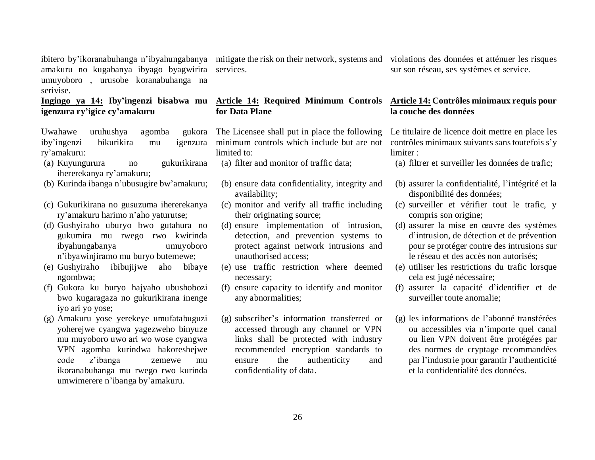ibitero by'ikoranabuhanga n'ibyahungabanya mitigate the risk on their network, systems and violations des données et atténuer les risques amakuru no kugabanya ibyago byagwirira umuyoboro , urusobe koranabuhanga na serivise.

#### **Ingingo ya 14: Iby'ingenzi bisabwa mu igenzura ry'igice cy'amakuru**

Uwahawe uruhushya agomba iby'ingenzi bikurikira mu igenzura ry'amakuru:

- (a) Kuyungurura no gukurikirana ihererekanya ry'amakuru;
- (b) Kurinda ibanga n'ubusugire bw'amakuru;
- (c) Gukurikirana no gusuzuma ihererekanya ry'amakuru harimo n'aho yaturutse;
- (d) Gushyiraho uburyo bwo gutahura no gukumira mu rwego rwo kwirinda ibyahungabanya umuyoboro n'ibyawinjiramo mu buryo butemewe;
- (e) Gushyiraho ibibujijwe aho bibaye ngombwa;
- (f) Gukora ku buryo hajyaho ubushobozi bwo kugaragaza no gukurikirana inenge iyo ari yo yose;
- (g) Amakuru yose yerekeye umufatabuguzi yoherejwe cyangwa yagezweho binyuze mu muyoboro uwo ari wo wose cyangwa VPN agomba kurindwa hakoreshejwe code z'ibanga zemewe mu ikoranabuhanga mu rwego rwo kurinda umwimerere n'ibanga by'amakuru.

services.

#### **Article 14: Required Minimum Controls for Data Plane**

The Licensee shall put in place the following minimum controls which include but are not limited to:

- (a) filter and monitor of traffic data;
- (b) ensure data confidentiality, integrity and availability;
- (c) monitor and verify all traffic including their originating source;
- (d) ensure implementation of intrusion, detection, and prevention systems to protect against network intrusions and unauthorised access;
- (e) use traffic restriction where deemed necessary;
- (f) ensure capacity to identify and monitor any abnormalities;
- (g) subscriber's information transferred or accessed through any channel or VPN links shall be protected with industry recommended encryption standards to ensure the authenticity and confidentiality of data.

sur son réseau, ses systèmes et service.

#### **Article 14: Contrôles minimaux requis pour la couche des données**

Le titulaire de licence doit mettre en place les contrôles minimaux suivants sans toutefois s'y limiter :

(a) filtrer et surveiller les données de trafic;

- (b) assurer la confidentialité, l'intégrité et la disponibilité des données;
- (c) surveiller et vérifier tout le trafic, y compris son origine;
- (d) assurer la mise en œuvre des systèmes d'intrusion, de détection et de prévention pour se protéger contre des intrusions sur le réseau et des accès non autorisés;
- (e) utiliser les restrictions du trafic lorsque cela est jugé nécessaire;
- (f) assurer la capacité d'identifier et de surveiller toute anomalie;
- (g) les informations de l'abonné transférées ou accessibles via n'importe quel canal ou lien VPN doivent être protégées par des normes de cryptage recommandées par l'industrie pour garantir l'authenticité et la confidentialité des données.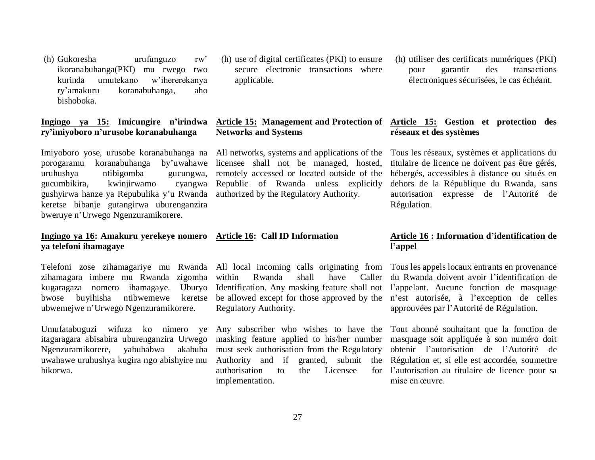(h) Gukoresha urufunguzo rw' ikoranabuhanga(PKI) mu rwego rwo kurinda umutekano w'ihererekanya ry'amakuru koranabuhanga, aho bishoboka.

### **ry'imiyoboro n'urusobe koranabuhanga**

Imiyoboro yose, urusobe koranabuhanga na porogaramu koranabuhanga by'uwahawe uruhushya ntibigomba gucungwa, gucumbikira, kwinjirwamo cyangwa gushyirwa hanze ya Repubulika y'u Rwanda keretse bibanje gutangirwa uburenganzira bweruye n'Urwego Ngenzuramikorere.

#### **Ingingo ya 16: Amakuru yerekeye nomero ya telefoni ihamagaye**

zihamagara imbere mu Rwanda zigomba kugaragaza nomero ihamagaye. Uburyo bwose buyihisha ntibwemewe keretse ubwemejwe n'Urwego Ngenzuramikorere.

Umufatabuguzi wifuza ko nimero ye itagaragara abisabira uburenganzira Urwego Ngenzuramikorere, yabuhabwa akabuha uwahawe uruhushya kugira ngo abishyire mu bikorwa.

(h) use of digital certificates (PKI) to ensure secure electronic transactions where applicable.

#### **Ingingo ya 15: Imicungire n'irindwa Article 15: Management and Protection of Article 15: Gestion et protection des Networks and Systems**

All networks, systems and applications of the licensee shall not be managed, hosted, remotely accessed or located outside of the Republic of Rwanda unless explicitly authorized by the Regulatory Authority.

### **Article 16: Call ID Information**

within Rwanda shall have Caller be allowed except for those approved by the Regulatory Authority.

must seek authorisation from the Regulatory authorisation to the Licensee implementation.

(h) utiliser des certificats numériques (PKI) pour garantir des transactions électroniques sécurisées, le cas échéant.

## **réseaux et des systèmes**

Tous les réseaux, systèmes et applications du titulaire de licence ne doivent pas être gérés, hébergés, accessibles à distance ou situés en dehors de la République du Rwanda, sans autorisation expresse de l'Autorité de Régulation.

#### **Article 16 : Information d'identification de l'appel**

Telefoni zose zihamagariye mu Rwanda All local incoming calls originating from Tous les appels locaux entrants en provenance Identification. Any masking feature shall not l'appelant. Aucune fonction de masquage du Rwanda doivent avoir l'identification de n'est autorisée, à l'exception de celles approuvées par l'Autorité de Régulation.

> Any subscriber who wishes to have the Tout abonné souhaitant que la fonction de masking feature applied to his/her number masquage soit appliquée à son numéro doit Authority and if granted, submit the Régulation et, si elle est accordée, soumettre obtenir l'autorisation de l'Autorité de l'autorisation au titulaire de licence pour sa mise en œuvre.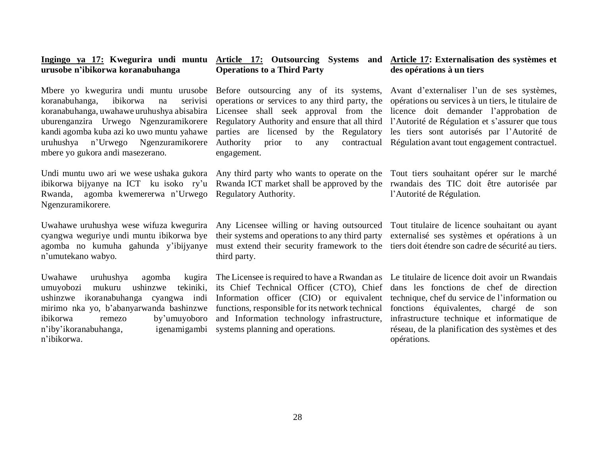### **urusobe n'ibikorwa koranabuhanga**

Mbere yo kwegurira undi muntu urusobe koranabuhanga, ibikorwa na serivisi koranabuhanga, uwahawe uruhushya abisabira uburenganzira Urwego Ngenzuramikorere kandi agomba kuba azi ko uwo muntu yahawe uruhushya n'Urwego Ngenzuramikorere mbere yo gukora andi masezerano.

Undi muntu uwo ari we wese ushaka gukora ibikorwa bijyanye na ICT ku isoko ry'u Rwanda ICT market shall be approved by the rwandais des TIC doit être autorisée par Rwanda, agomba kwemererwa n'Urwego Regulatory Authority. Ngenzuramikorere.

Uwahawe uruhushya wese wifuza kwegurira cyangwa weguriye undi muntu ibikorwa bye agomba no kumuha gahunda y'ibijyanye n'umutekano wabyo.

Uwahawe uruhushya agomba umuyobozi mukuru ushinzwe tekiniki, mirimo nka yo, b'abanyarwanda bashinzwe ibikorwa remezo by'umuyoboro n'iby'ikoranabuhanga, n'ibikorwa.

### **Operations to a Third Party**

parties are licensed by the Regulatory engagement.

third party.

its Chief Technical Officer (CTO), Chief functions, responsible for its network technical and Information technology infrastructure, igenamigambi systems planning and operations.

#### **Ingingo ya 17: Kwegurira undi muntu Article 17: Outsourcing Systems and Article 17: Externalisation des systèmes et des opérations à un tiers**

Before outsourcing any of its systems, Avant d'externaliser l'un de ses systèmes, operations or services to any third party, the opérations ou services à un tiers, le titulaire de Licensee shall seek approval from the licence doit demander l'approbation de Regulatory Authority and ensure that all third l'Autorité de Régulation et s'assurer que tous Authority prior to any contractual Régulation avant tout engagement contractuel. les tiers sont autorisés par l'Autorité de

Any third party who wants to operate on the Tout tiers souhaitant opérer sur le marché l'Autorité de Régulation.

Any Licensee willing or having outsourced Tout titulaire de licence souhaitant ou ayant their systems and operations to any third party externalisé ses systèmes et opérations à un must extend their security framework to the tiers doit étendre son cadre de sécurité au tiers.

ushinzwe ikoranabuhanga cyangwa indi Information officer (CIO) or equivalent technique, chef du service de l'information ou The Licensee is required to have a Rwandan as Le titulaire de licence doit avoir un Rwandais dans les fonctions de chef de direction fonctions équivalentes, chargé de son infrastructure technique et informatique de réseau, de la planification des systèmes et des opérations.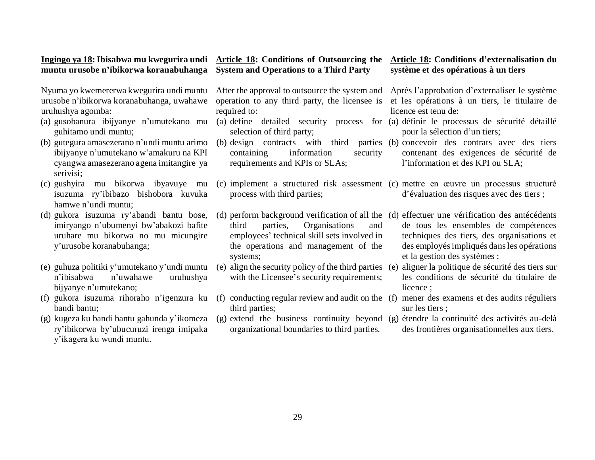### **muntu urusobe n'ibikorwa koranabuhanga**

Nyuma yo kwemererwa kwegurira undi muntu urusobe n'ibikorwa koranabuhanga, uwahawe uruhushya agomba:

- guhitamo undi muntu;
- (b) gutegura amasezerano n'undi muntu arimo ibijyanye n'umutekano w'amakuru na KPI cyangwa amasezerano agena imitangire ya serivisi;
- (c) gushyira mu bikorwa ibyavuye mu isuzuma ry'ibibazo bishobora kuvuka hamwe n'undi muntu;
- (d) gukora isuzuma ry'abandi bantu bose, imiryango n'ubumenyi bw'abakozi bafite uruhare mu bikorwa no mu micungire y'urusobe koranabuhanga;
- (e) guhuza politiki y'umutekano y'undi muntu n'ibisabwa n'uwahawe uruhushya bijyanye n'umutekano;
- (f) gukora isuzuma rihoraho n'igenzura ku bandi bantu;
- (g) kugeza ku bandi bantu gahunda y'ikomeza ry'ibikorwa by'ubucuruzi irenga imipaka y'ikagera ku wundi muntu.

#### **Ingingo ya 18: Ibisabwa mu kwegurira undi Article 18: Conditions of Outsourcing the Article 18: Conditions d'externalisation du System and Operations to a Third Party**

operation to any third party, the licensee is required to:

- selection of third party;
- $(b)$  design contracts with third containing information security requirements and KPIs or SLAs;
- process with third parties;
- third parties, Organisations and employees' technical skill sets involved in the operations and management of the systems;
- with the Licensee's security requirements;
- (f) conducting regular review and audit on the (f) mener des examens et des audits réguliers third parties;
- organizational boundaries to third parties.

# **système et des opérations à un tiers**

After the approval to outsource the system and Après l'approbation d'externaliser le système et les opérations à un tiers, le titulaire de licence est tenu de:

- (a) gusobanura ibijyanye n'umutekano mu (a) define detailed security process for (a) définir le processus de sécurité détaillé pour la sélection d'un tiers;
	- (b) concevoir des contrats avec des tiers contenant des exigences de sécurité de l'information et des KPI ou SLA;

(c) implement a structured risk assessment (c) mettre en œuvre un processus structuré d'évaluation des risques avec des tiers ;

(d) perform background verification of all the (d) effectuer une vérification des antécédents de tous les ensembles de compétences techniques des tiers, des organisations et des employés impliqués dans les opérations et la gestion des systèmes ;

- (e) align the security policy of the third parties (e) aligner la politique de sécurité des tiers sur les conditions de sécurité du titulaire de licence :
	- sur les tiers ;
- (g) extend the business continuity beyond (g) étendre la continuité des activités au-delà des frontières organisationnelles aux tiers.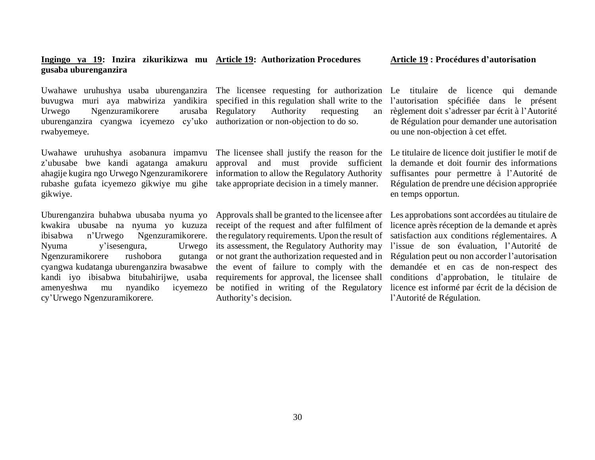#### **Ingingo ya 19: Inzira zikurikizwa mu Article 19: Authorization Procedures gusaba uburenganzira**

buvugwa muri aya mabwiriza yandikira Urwego Ngenzuramikorere arusaba uburenganzira cyangwa icyemezo cy'uko authorization or non-objection to do so. rwabyemeye.

Uwahawe uruhushya asobanura impamvu z'ubusabe bwe kandi agatanga amakuru ahagije kugira ngo Urwego Ngenzuramikorere rubashe gufata icyemezo gikwiye mu gihe take appropriate decision in a timely manner. gikwiye.

Uburenganzira buhabwa ubusaba nyuma yo kwakira ubusabe na nyuma yo kuzuza ibisabwa n'Urwego Ngenzuramikorere. Nyuma y'isesengura, Urwego Ngenzuramikorere rushobora gutanga cyangwa kudatanga uburenganzira bwasabwe kandi iyo ibisabwa bitubahirijwe, usaba amenyeshwa mu nyandiko icyemezo cy'Urwego Ngenzuramikorere.

Uwahawe uruhushya usaba uburenganzira The licensee requesting for authorization specified in this regulation shall write to the Regulatory Authority requesting an

> The licensee shall justify the reason for the approval and must provide sufficient information to allow the Regulatory Authority

> receipt of the request and after fulfilment of the regulatory requirements. Upon the result of its assessment, the Regulatory Authority may or not grant the authorization requested and in the event of failure to comply with the requirements for approval, the licensee shall Authority's decision.

Le titulaire de licence qui demande l'autorisation spécifiée dans le présent règlement doit s'adresser par écrit à l'Autorité de Régulation pour demander une autorisation ou une non-objection à cet effet.

Le titulaire de licence doit justifier le motif de la demande et doit fournir des informations suffisantes pour permettre à l'Autorité de Régulation de prendre une décision appropriée en temps opportun.

Approvals shall be granted to the licensee after Les approbations sont accordées au titulaire de be notified in writing of the Regulatory licence est informé par écrit de la décision de licence après réception de la demande et après satisfaction aux conditions réglementaires. A l'issue de son évaluation, l'Autorité de Régulation peut ou non accorder l'autorisation demandée et en cas de non-respect des conditions d'approbation, le titulaire de l'Autorité de Régulation.

#### **Article 19 : Procédures d'autorisation**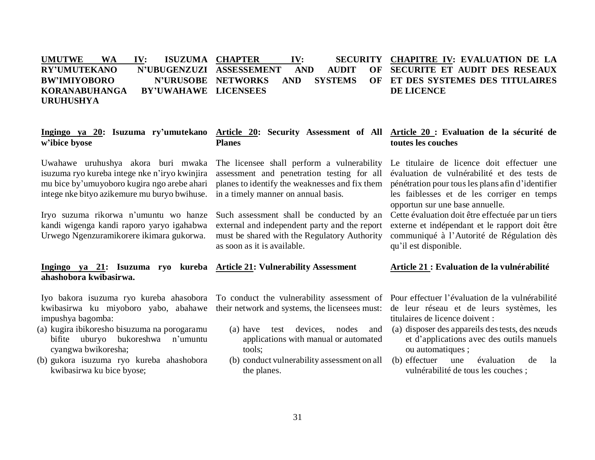#### UMUTWE WA IV: ISUZUMA CHAPTER **RY'UMUTEKANO BW'IMIYOBORO KORANABUHANGA URUHUSHYA CHAPTER IV: SECURITY CHAPITRE IV: EVALUATION DE LA ASSESSEMENT AND AUDIT OF N'URUSOBE NETWORKS AND SYSTEMS BY'UWAHAWE LICENSEES SECURITE ET AUDIT DES RESEAUX ET DES SYSTEMES DES TITULAIRES DE LICENCE**

#### **Ingingo ya 20: Isuzuma ry'umutekano Article 20: Security Assessment of All Article 20 : Evaluation de la sécurité de w'ibice byose Planes**

Uwahawe uruhushya akora buri mwaka isuzuma ryo kureba intege nke n'iryo kwinjira mu bice by'umuyoboro kugira ngo arebe ahari intege nke bityo azikemure mu buryo bwihuse.

Iryo suzuma rikorwa n'umuntu wo hanze kandi wigenga kandi raporo yaryo igahabwa Urwego Ngenzuramikorere ikimara gukorwa.

**Ingingo ya 21: Isuzuma ryo kureba Article 21: Vulnerability Assessment ahashobora kwibasirwa.** 

kwibasirwa ku miyoboro yabo, abahawe their network and systems, the licensees must: impushya bagomba:

- (a) kugira ibikoresho bisuzuma na porogaramu bifite uburyo bukoreshwa n'umuntu cyangwa bwikoresha;
- (b) gukora isuzuma ryo kureba ahashobora kwibasirwa ku bice byose;

The licensee shall perform a vulnerability assessment and penetration testing for all planes to identify the weaknesses and fix them in a timely manner on annual basis.

Such assessment shall be conducted by an external and independent party and the report must be shared with the Regulatory Authority as soon as it is available.

- (a) have test devices, nodes and applications with manual or automated tools;
- (b) conduct vulnerability assessment on all the planes.

Iyo bakora isuzuma ryo kureba ahasobora To conduct the vulnerability assessment of Pour effectuer l'évaluation de la vulnérabilité de leur réseau et de leurs systèmes, les titulaires de licence doivent :

- (a) disposer des appareils des tests, des nœuds et d'applications avec des outils manuels ou automatiques ;
- (b) effectuer une évaluation de la vulnérabilité de tous les couches ;

## **toutes les couches**

Le titulaire de licence doit effectuer une évaluation de vulnérabilité et des tests de pénétration pour tous les plans afin d'identifier les faiblesses et de les corriger en temps opportun sur une base annuelle.

Cette évaluation doit être effectuée par un tiers externe et indépendant et le rapport doit être communiqué à l'Autorité de Régulation dès qu'il est disponible.

#### **Article 21 : Evaluation de la vulnérabilité**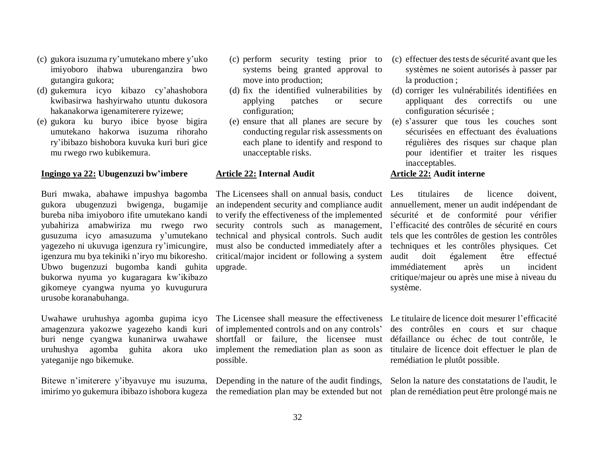- (c) gukora isuzuma ry'umutekano mbere y'uko imiyoboro ihabwa uburenganzira bwo gutangira gukora;
- (d) gukemura icyo kibazo cy'ahashobora kwibasirwa hashyirwaho utuntu dukosora hakanakorwa igenamiterere ryizewe;
- (e) gukora ku buryo ibice byose bigira umutekano hakorwa isuzuma rihoraho ry'ibibazo bishobora kuvuka kuri buri gice mu rwego rwo kubikemura.

#### **Ingingo ya 22: Ubugenzuzi bw'imbere**

Buri mwaka, abahawe impushya bagomba gukora ubugenzuzi bwigenga, bugamije bureba niba imiyoboro ifite umutekano kandi yubahiriza amabwiriza mu rwego rwo gusuzuma icyo amasuzuma y'umutekano yagezeho ni ukuvuga igenzura ry'imicungire, igenzura mu bya tekiniki n'iryo mu bikoresho. Ubwo bugenzuzi bugomba kandi guhita bukorwa nyuma yo kugaragara kw'ikibazo gikomeye cyangwa nyuma yo kuvugurura urusobe koranabuhanga.

Uwahawe uruhushya agomba gupima icyo amagenzura yakozwe yagezeho kandi kuri buri nenge cyangwa kunanirwa uwahawe uruhushya agomba guhita akora uko yateganije ngo bikemuke.

Bitewe n'imiterere y'ibyavuye mu isuzuma,

- (c) perform security testing prior to systems being granted approval to move into production;
- (d) fix the identified vulnerabilities by applying patches or secure configuration;
- (e) ensure that all planes are secure by conducting regular risk assessments on each plane to identify and respond to unacceptable risks.

#### **Article 22: Internal Audit**

The Licensees shall on annual basis, conduct Les an independent security and compliance audit to verify the effectiveness of the implemented security controls such as management, technical and physical controls. Such audit must also be conducted immediately after a critical/major incident or following a system upgrade.

The Licensee shall measure the effectiveness Le titulaire de licence doit mesurer l'efficacité of implemented controls and on any controls' shortfall or failure, the licensee must implement the remediation plan as soon as titulaire de licence doit effectuer le plan de possible.

Depending in the nature of the audit findings,

- (c) effectuer des tests de sécurité avant que les systèmes ne soient autorisés à passer par la production ;
- (d) corriger les vulnérabilités identifiées en appliquant des correctifs ou une configuration sécurisée ;
- (e) s'assurer que tous les couches sont sécurisées en effectuant des évaluations régulières des risques sur chaque plan pour identifier et traiter les risques inacceptables.

#### **Article 22: Audit interne**

titulaires de licence doivent. annuellement, mener un audit indépendant de sécurité et de conformité pour vérifier l'efficacité des contrôles de sécurité en cours tels que les contrôles de gestion les contrôles techniques et les contrôles physiques. Cet audit doit également être effectué immédiatement après un incident critique/majeur ou après une mise à niveau du système.

des contrôles en cours et sur chaque défaillance ou échec de tout contrôle, le remédiation le plutôt possible.

imirimo yo gukemura ibibazo ishobora kugeza the remediation plan may be extended but not plan de remédiation peut être prolongé mais ne Selon la nature des constatations de l'audit, le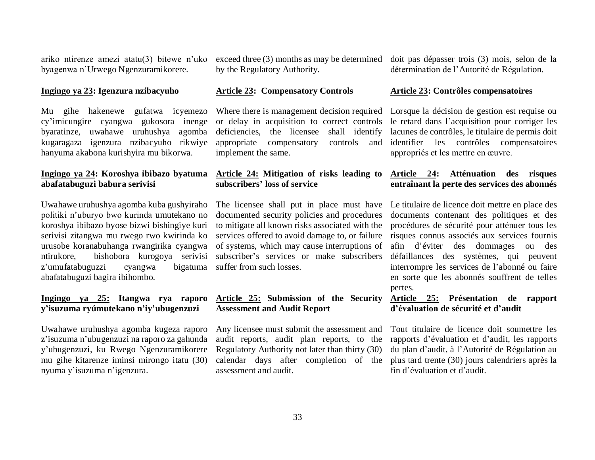ariko ntirenze amezi atatu(3) bitewe n'uko byagenwa n'Urwego Ngenzuramikorere.

#### **Ingingo ya 23: Igenzura nzibacyuho**

Mu gihe hakenewe gufatwa icyemezo cy'imicungire cyangwa gukosora inenge byaratinze, uwahawe uruhushya agomba kugaragaza igenzura nzibacyuho rikwiye hanyuma akabona kurishyira mu bikorwa.

#### **Ingingo ya 24: Koroshya ibibazo byatuma abafatabuguzi babura serivisi**

Uwahawe uruhushya agomba kuba gushyiraho politiki n'uburyo bwo kurinda umutekano no koroshya ibibazo byose bizwi bishingiye kuri serivisi zitangwa mu rwego rwo kwirinda ko urusobe koranabuhanga rwangirika cyangwa ntirukore, bishobora kurogoya serivisi z'umufatabuguzzi cyangwa bigatuma abafatabuguzi bagira ibihombo.

#### **Ingingo ya 25: Itangwa rya raporo y'isuzuma ryúmutekano n'iy'ubugenzuzi**

Uwahawe uruhushya agomba kugeza raporo z'isuzuma n'ubugenzuzi na raporo za gahunda y'ubugenzuzi, ku Rwego Ngenzuramikorere mu gihe kitarenze iminsi mirongo itatu (30) nyuma y'isuzuma n'igenzura.

exceed three (3) months as may be determined by the Regulatory Authority.

#### **Article 23: Compensatory Controls**

Where there is management decision required or delay in acquisition to correct controls deficiencies, the licensee shall identify appropriate compensatory controls and implement the same.

#### **Article 24: Mitigation of risks leading to subscribers' loss of service**

The licensee shall put in place must have documented security policies and procedures to mitigate all known risks associated with the services offered to avoid damage to, or failure of systems, which may cause interruptions of subscriber's services or make subscribers suffer from such losses.

#### **Article 25: Submission of the Security Article 25: Présentation de rapport Assessment and Audit Report**

Any licensee must submit the assessment and audit reports, audit plan reports, to the Regulatory Authority not later than thirty (30) calendar days after completion of the assessment and audit.

doit pas dépasser trois (3) mois, selon de la détermination de l'Autorité de Régulation.

#### **Article 23: Contrôles compensatoires**

Lorsque la décision de gestion est requise ou le retard dans l'acquisition pour corriger les lacunes de contrôles, le titulaire de permis doit identifier les contrôles compensatoires appropriés et les mettre en œuvre.

#### **Article 24: Atténuation des risques entraînant la perte des services des abonnés**

Le titulaire de licence doit mettre en place des documents contenant des politiques et des procédures de sécurité pour atténuer tous les risques connus associés aux services fournis afin d'éviter des dommages ou des défaillances des systèmes, qui peuvent interrompre les services de l'abonné ou faire en sorte que les abonnés souffrent de telles pertes.

### **d'évaluation de sécurité et d'audit**

Tout titulaire de licence doit soumettre les rapports d'évaluation et d'audit, les rapports du plan d'audit, à l'Autorité de Régulation au plus tard trente (30) jours calendriers après la fin d'évaluation et d'audit.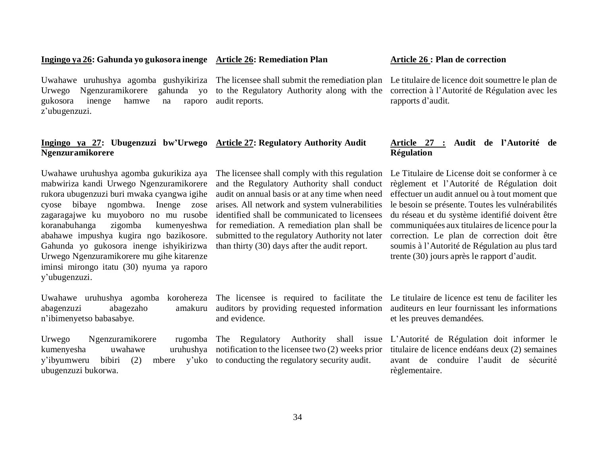and the Regulatory Authority shall conduct audit on annual basis or at any time when need arises. All network and system vulnerabilities

audit reports.

### **Ingingo ya 26: Gahunda yo gukosora inenge Article 26: Remediation Plan**

Urwego Ngenzuramikorere gahunda yo gukosora inenge hamwe na raporo z'ubugenzuzi.

#### **Ingingo ya 27: Ubugenzuzi bw'Urwego Article 27: Regulatory Authority Audit Ngenzuramikorere**

Uwahawe uruhushya agomba gukurikiza aya mabwiriza kandi Urwego Ngenzuramikorere rukora ubugenzuzi buri mwaka cyangwa igihe cyose bibaye ngombwa. Inenge zose zagaragajwe ku muyoboro no mu rusobe koranabuhanga zigomba kumenyeshwa abahawe impushya kugira ngo bazikosore. Gahunda yo gukosora inenge ishyikirizwa Urwego Ngenzuramikorere mu gihe kitarenze iminsi mirongo itatu (30) nyuma ya raporo y'ubugenzuzi.

abagenzuzi abagezaho n'ibimenyetso babasabye.

Urwego Ngenzuramikorere kumenyesha uwahawe y'ibyumweru bibiri (2) ubugenzuzi bukorwa.

identified shall be communicated to licensees for remediation. A remediation plan shall be submitted to the regulatory Authority not later than thirty (30) days after the audit report.

The licensee shall comply with this regulation

and evidence.

uruhushya notification to the licensee two  $(2)$  weeks prior mbere  $y'$  uko to conducting the regulatory security audit.

#### **Article 26 : Plan de correction**

Uwahawe uruhushya agomba gushyikiriza The licensee shall submit the remediation plan Le titulaire de licence doit soumettre le plan de to the Regulatory Authority along with the correction à l'Autorité de Régulation avec les rapports d'audit.

#### **Article 27 : Audit de l'Autorité de Régulation**

Le Titulaire de License doit se conformer à ce règlement et l'Autorité de Régulation doit effectuer un audit annuel ou à tout moment que le besoin se présente. Toutes les vulnérabilités du réseau et du système identifié doivent être communiquées aux titulaires de licence pour la correction. Le plan de correction doit être soumis à l'Autorité de Régulation au plus tard trente (30) jours après le rapport d'audit.

Uwahawe uruhushya agomba korohereza The licensee is required to facilitate the Le titulaire de licence est tenu de faciliter les auditors by providing requested information auditeurs en leur fournissant les informations et les preuves demandées.

> The Regulatory Authority shall issue L'Autorité de Régulation doit informer le titulaire de licence endéans deux (2) semaines avant de conduire l'audit de sécurité règlementaire.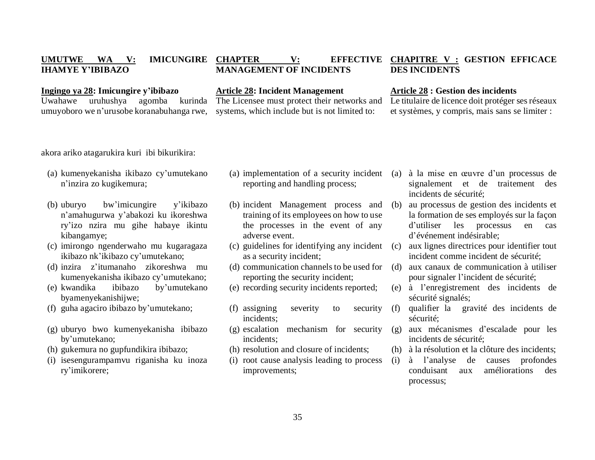#### **UMUTWE WA V: IMICUNGIRE CHAPTER IHAMYE Y'IBIBAZO CHAPTER V: EFFECTIVE CHAPITRE V : GESTION EFFICACE MANAGEMENT OF INCIDENTS DES INCIDENTS**

#### **Ingingo ya 28: Imicungire y'ibibazo**

Uwahawe uruhushya agomba kurinda umuyoboro we n'urusobe koranabuhanga rwe,

#### **Article 28: Incident Management**

The Licensee must protect their networks and systems, which include but is not limited to:

#### **Article 28 : Gestion des incidents**

Le titulaire de licence doit protéger ses réseaux et systèmes, y compris, mais sans se limiter :

akora ariko atagarukira kuri ibi bikurikira:

- (a) kumenyekanisha ikibazo cy'umutekano n'inzira zo kugikemura;
- (b) uburyo bw'imicungire y'ikibazo n'amahugurwa y'abakozi ku ikoreshwa ry'izo nzira mu gihe habaye ikintu kibangamye;
- (c) imirongo ngenderwaho mu kugaragaza ikibazo nk'ikibazo cy'umutekano;
- (d) inzira z'itumanaho zikoreshwa mu kumenyekanisha ikibazo cy'umutekano;
- (e) kwandika ibibazo by'umutekano byamenyekanishijwe;
- (f) guha agaciro ibibazo by'umutekano;
- (g) uburyo bwo kumenyekanisha ibibazo by'umutekano;
- (h) gukemura no gupfundikira ibibazo;
- (i) isesengurampamvu riganisha ku inoza ry'imikorere;
- (a) implementation of a security incident reporting and handling process;
- (b) incident Management process and training of its employees on how to use the processes in the event of any adverse event.
- (c) guidelines for identifying any incident as a security incident;
- (d) communication channels to be used for reporting the security incident;
- (e) recording security incidents reported;
- (f) assigning severity to security incidents;
- (g) escalation mechanism for security incidents;
- (h) resolution and closure of incidents;
- (i) root cause analysis leading to process improvements;
- (a) à la mise en œuvre d'un processus de signalement et de traitement des incidents de sécurité;
- (b) au processus de gestion des incidents et la formation de ses employés sur la façon d'utiliser les processus en cas d'événement indésirable;
- aux lignes directrices pour identifier tout incident comme incident de sécurité;
- (d) aux canaux de communication à utiliser pour signaler l'incident de sécurité;
- (e) à l'enregistrement des incidents de sécurité signalés;
- (f) qualifier la gravité des incidents de sécurité;
- aux mécanismes d'escalade pour les incidents de sécurité;
- (h) à la résolution et la clôture des incidents;
- (i) à l'analyse de causes profondes conduisant aux améliorations des processus;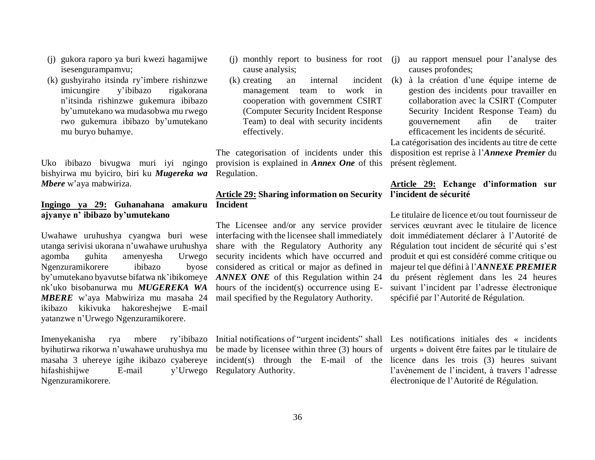- (j) gukora raporo ya buri kwezi hagamijwe isesengurampamvu;
- (k) gushyiraho itsinda ry'imbere rishinzwe imicungire y'ibibazo rigakorana n'itsinda rishinzwe gukemura ibibazo by'umutekano wa mudasobwa mu rwego rwo gukemura ibibazo by'umutekano mu buryo buhamye.

Uko ibibazo bivugwa muri iyi ngingo bishyirwa mu byiciro, biri ku *Mugereka wa Mbere* w'aya mabwiriza.

#### **Ingingo ya 29: Guhanahana amakuru Incident ajyanye n' ibibazo by'umutekano**

Uwahawe uruhushya cyangwa buri wese interfacing with the licensee shall immediately utanga serivisi ukorana n'uwahawe uruhushya agomba guhita amenyesha Ngenzuramikorere ibibazo by'umutekano byavutse bifatwa nk'ibikomeye *ANNEX ONE* of this Regulation within 24 nk'uko bisobanurwa mu *MUGEREKA WA*  hours of the incident(s) occurrence using E-*MBERE* w'aya Mabwiriza mu masaha 24 mail specified by the Regulatory Authority. ikibazo kikivuka hakoreshejwe E-mail yatanzwe n'Urwego Ngenzuramikorere.

Imenyekanisha rya mbere ry'ibibazo byihutirwa rikorwa n'uwahawe uruhushya mu hifashishiiwe E-mail Ngenzuramikorere.

- (i) monthly report to business for root (i) cause analysis;
- $(k)$  creating an internal management team to work in cooperation with government CSIRT (Computer Security Incident Response Team) to deal with security incidents effectively.

The categorisation of incidents under this provision is explained in *Annex One* of this Regulation.

# **Article 29: Sharing information on Security l'incident de sécurité**

The Licensee and/or any service provider share with the Regulatory Authority any Urwego security incidents which have occurred and byose considered as critical or major as defined in

y'Urwego Regulatory Authority.

- au rapport mensuel pour l'analyse des causes profondes;
- (k) à la création d'une équipe interne de gestion des incidents pour travailler en collaboration avec la CSIRT (Computer Security Incident Response Team) du gouvernement afin de traiter efficacement les incidents de sécurité.

La catégorisation des incidents au titre de cette disposition est reprise à l'*Annexe Premier* du présent règlement.

# **Article 29: Echange d'information sur**

Le titulaire de licence et/ou tout fournisseur de services œuvrant avec le titulaire de licence doit immédiatement déclarer à l'Autorité de Régulation tout incident de sécurité qui s'est produit et qui est considéré comme critique ou majeur tel que défini à l'*ANNEXE PREMIER* du présent règlement dans les 24 heures suivant l'incident par l'adresse électronique spécifié par l'Autorité de Régulation.

masaha 3 uhereye igihe ikibazo cyabereye incident(s) through the E-mail of the licence dans les trois (3) heures suivant Initial notifications of "urgent incidents" shall Les notifications initiales des « incidents be made by licensee within three (3) hours of urgents » doivent être faites par le titulaire de l'avènement de l'incident, à travers l'adresse électronique de l'Autorité de Régulation.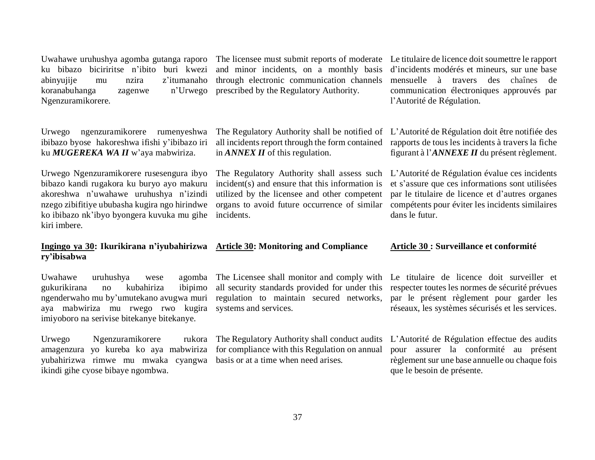Uwahawe uruhushya agomba gutanga raporo ku bibazo biciriritse n'ibito buri kwezi abinyujije mu nzira z'itumanaho koranabuhanga zagenwe n'Urwego Ngenzuramikorere.

Urwego ngenzuramikorere rumenyeshwa ibibazo byose hakoreshwa ifishi y'ibibazo iri ku *MUGEREKA WA II* w'aya mabwiriza.

Urwego Ngenzuramikorere rusesengura ibyo bibazo kandi rugakora ku buryo ayo makuru akoreshwa n'uwahawe uruhushya n'izindi nzego zibifitiye ububasha kugira ngo hirindwe ko ibibazo nk'ibyo byongera kuvuka mu gihe kiri imbere.

# **ry'ibisabwa**

Uwahawe uruhushya wese agomba gukurikirana no kubahiriza ibipimo ngenderwaho mu by'umutekano avugwa muri aya mabwiriza mu rwego rwo kugira imiyoboro na serivise bitekanye bitekanye.

Urwego Ngenzuramikorere rukora amagenzura yo kureba ko aya mabwiriza for compliance with this Regulation on annual yubahirizwa rimwe mu mwaka cyangwa basis or at a time when need arises. ikindi gihe cyose bibaye ngombwa.

and minor incidents, on a monthly basis through electronic communication channels prescribed by the Regulatory Authority.

The Regulatory Authority shall assess such incident(s) and ensure that this information is utilized by the licensee and other competent organs to avoid future occurrence of similar

The licensee must submit reports of moderate Le titulaire de licence doit soumettre le rapport d'incidents modérés et mineurs, sur une base mensuelle à travers des chaînes de communication électroniques approuvés par l'Autorité de Régulation.

The Regulatory Authority shall be notified of L'Autorité de Régulation doit être notifiée des all incidents report through the form contained rapports de tous les incidents à travers la fiche figurant à l'*ANNEXE II* du présent règlement.

> L'Autorité de Régulation évalue ces incidents et s'assure que ces informations sont utilisées par le titulaire de licence et d'autres organes compétents pour éviter les incidents similaires dans le futur.

### **Ingingo ya 30: Ikurikirana n'iyubahirizwa Article 30: Monitoring and Compliance**

incidents.

in *ANNEX II* of this regulation.

The Licensee shall monitor and comply with all security standards provided for under this regulation to maintain secured networks, systems and services.

#### **Article 30 : Surveillance et conformité**

Le titulaire de licence doit surveiller et respecter toutes les normes de sécurité prévues par le présent règlement pour garder les réseaux, les systèmes sécurisés et les services.

The Regulatory Authority shall conduct audits L'Autorité de Régulation effectue des audits pour assurer la conformité au présent règlement sur une base annuelle ou chaque fois que le besoin de présente.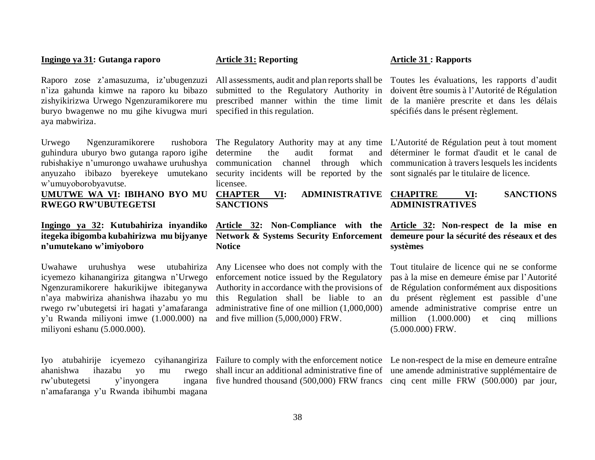#### **Ingingo ya 31: Gutanga raporo**

Raporo zose z'amasuzuma, iz'ubugenzuzi n'iza gahunda kimwe na raporo ku bibazo zishyikirizwa Urwego Ngenzuramikorere mu buryo bwagenwe no mu gihe kivugwa muri aya mabwiriza.

Urwego Ngenzuramikorere rushobora guhindura uburyo bwo gutanga raporo igihe rubishakiye n'umurongo uwahawe uruhushya anyuzaho ibibazo byerekeye umutekano w'umuyoborobyavutse.

#### **UMUTWE WA VI: IBIHANO BYO MU RWEGO RW'UBUTEGETSI**

#### **Ingingo ya 32: Kutubahiriza inyandiko itegeka ibigomba kubahirizwa mu bijyanye n'umutekano w'imiyoboro**

Uwahawe uruhushya wese utubahiriza icyemezo kihanangiriza gitangwa n'Urwego Ngenzuramikorere hakurikijwe ibiteganywa n'aya mabwiriza ahanishwa ihazabu yo mu rwego rw'ubutegetsi iri hagati y'amafaranga y'u Rwanda miliyoni imwe (1.000.000) na miliyoni eshanu (5.000.000).

Iyo atubahirije icyemezo cyihanangiriza ahanishwa ihazabu yo mu rwego rw'ubutegetsi y'inyongera ingana n'amafaranga y'u Rwanda ibihumbi magana

#### **Article 31: Reporting**

submitted to the Regulatory Authority in prescribed manner within the time limit specified in this regulation.

The Regulatory Authority may at any time determine the audit format and communication channel through which security incidents will be reported by the licensee.

**CHAPTER VI: ADMINISTRATIVE SANCTIONS**

### **Article 32: Non-Compliance with the Notice**

Any Licensee who does not comply with the enforcement notice issued by the Regulatory Authority in accordance with the provisions of this Regulation shall be liable to an administrative fine of one million (1,000,000) and five million (5,000,000) FRW.

All assessments, audit and plan reports shall be Toutes les évaluations, les rapports d'audit doivent être soumis à l'Autorité de Régulation de la manière prescrite et dans les délais spécifiés dans le présent règlement.

> L'Autorité de Régulation peut à tout moment déterminer le format d'audit et le canal de communication à travers lesquels les incidents sont signalés par le titulaire de licence.

#### **CHAPITRE VI: SANCTIONS ADMINISTRATIVES**

#### **Network & Systems Security Enforcement demeure pour la sécurité des réseaux et des Article 32: Non-respect de la mise en systèmes**

Tout titulaire de licence qui ne se conforme pas à la mise en demeure émise par l'Autorité de Régulation conformément aux dispositions du présent règlement est passible d'une amende administrative comprise entre un million (1.000.000) et cinq millions (5.000.000) FRW.

shall incur an additional administrative fine of une amende administrative supplémentaire de five hundred thousand (500,000) FRW francs cinq cent mille FRW (500.000) par jour,

Failure to comply with the enforcement notice Le non-respect de la mise en demeure entraîne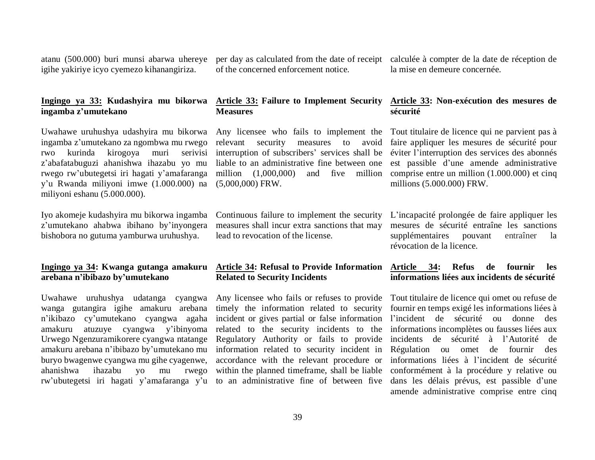atanu (500.000) buri munsi abarwa uhereye igihe yakiriye icyo cyemezo kihanangiriza.

of the concerned enforcement notice.

per day as calculated from the date of receipt calculée à compter de la date de réception de la mise en demeure concernée.

#### **Ingingo ya 33: Kudashyira mu bikorwa ingamba z'umutekano**

Uwahawe uruhushya udashyira mu bikorwa ingamba z'umutekano za ngombwa mu rwego rwo kurinda kirogoya muri serivisi z'abafatabuguzi ahanishwa ihazabu yo mu rwego rw'ubutegetsi iri hagati y'amafaranga y'u Rwanda miliyoni imwe (1.000.000) na miliyoni eshanu (5.000.000).

Iyo akomeje kudashyira mu bikorwa ingamba z'umutekano ahabwa ibihano by'inyongera bishobora no gutuma yamburwa uruhushya.

#### **Ingingo ya 34: Kwanga gutanga amakuru arebana n'ibibazo by'umutekano**

Uwahawe uruhushya udatanga cyangwa wanga gutangira igihe amakuru arebana n'ikibazo cy'umutekano cyangwa agaha amakuru atuzuye cyangwa y'ibinyoma Urwego Ngenzuramikorere cyangwa ntatange amakuru arebana n'ibibazo by'umutekano mu buryo bwagenwe cyangwa mu gihe cyagenwe, ahanishwa ihazabu yo mu rwego rw'ubutegetsi iri hagati y'amafaranga y'u

#### **Article 33: Failure to Implement Security Measures**

relevant security measures to avoid interruption of subscribers' services shall be liable to an administrative fine between one million  $(1,000,000)$ (5,000,000) FRW.

measures shall incur extra sanctions that may lead to revocation of the license.

## **Related to Security Incidents**

Any licensee who fails or refuses to provide timely the information related to security incident or gives partial or false information related to the security incidents to the Regulatory Authority or fails to provide information related to security incident in accordance with the relevant procedure or within the planned timeframe, shall be liable to an administrative fine of between five

#### **Article 33: Non-exécution des mesures de sécurité**

Any licensee who fails to implement the Tout titulaire de licence qui ne parvient pas à faire appliquer les mesures de sécurité pour éviter l'interruption des services des abonnés est passible d'une amende administrative and five million comprise entre un million  $(1.000.000)$  et cinq millions (5.000.000) FRW.

Continuous failure to implement the security L'incapacité prolongée de faire appliquer les mesures de sécurité entraîne les sanctions supplémentaires pouvant entraîner la révocation de la licence.

#### **Article 34: Refusal to Provide Information Article 34: Refus de fournir les informations liées aux incidents de sécurité**

Tout titulaire de licence qui omet ou refuse de fournir en temps exigé les informations liées à l'incident de sécurité ou donne des informations incomplètes ou fausses liées aux incidents de sécurité à l'Autorité de Régulation ou omet de fournir des informations liées à l'incident de sécurité conformément à la procédure y relative ou dans les délais prévus, est passible d'une amende administrative comprise entre cinq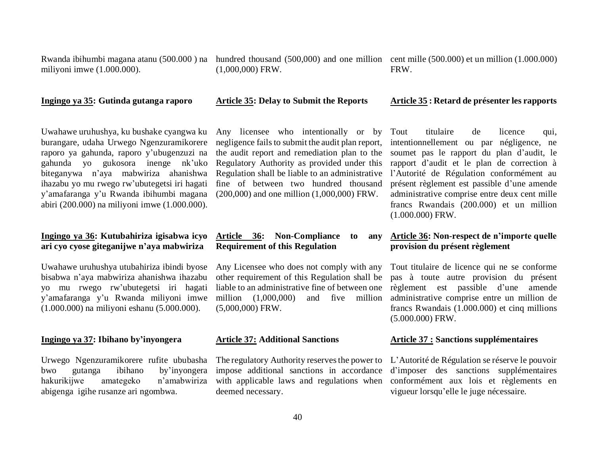Rwanda ibihumbi magana atanu (500.000 ) na hundred thousand (500,000) and one million cent mille (500.000) et un million (1.000.000) miliyoni imwe (1.000.000).

**Ingingo ya 35: Gutinda gutanga raporo**

(1,000,000) FRW.

FRW.

#### **Article 35: Delay to Submit the Reports**

#### Uwahawe uruhushya, ku bushake cyangwa ku burangare, udaha Urwego Ngenzuramikorere raporo ya gahunda, raporo y'ubugenzuzi na gahunda yo gukosora inenge nk'uko biteganywa n'aya mabwiriza ahanishwa ihazabu yo mu rwego rw'ubutegetsi iri hagati y'amafaranga y'u Rwanda ibihumbi magana abiri (200.000) na miliyoni imwe (1.000.000).

#### **Ingingo ya 36: Kutubahiriza igisabwa icyo ari cyo cyose giteganijwe n'aya mabwiriza**

Uwahawe uruhushya utubahiriza ibindi byose bisabwa n'aya mabwiriza ahanishwa ihazabu yo mu rwego rw'ubutegetsi iri hagati y'amafaranga y'u Rwanda miliyoni imwe (1.000.000) na miliyoni eshanu (5.000.000).

#### **Ingingo ya 37: Ibihano by'inyongera**

Urwego Ngenzuramikorere rufite ububasha bwo gutanga ibihano by'inyongera hakurikijwe amategeko n'amabwiriza abigenga igihe rusanze ari ngombwa.

Any licensee who intentionally or by negligence fails to submit the audit plan report, the audit report and remediation plan to the Regulatory Authority as provided under this Regulation shall be liable to an administrative fine of between two hundred thousand (200,000) and one million (1,000,000) FRW.

#### **Article 36: Non-Compliance to any Requirement of this Regulation**

Any Licensee who does not comply with any other requirement of this Regulation shall be liable to an administrative fine of between one million (1,000,000) and five million (5,000,000) FRW.

#### **Article 37: Additional Sanctions**

The regulatory Authority reserves the power to impose additional sanctions in accordance with applicable laws and regulations when deemed necessary.

#### **Article 35 : Retard de présenter les rapports**

Tout titulaire de licence qui, intentionnellement ou par négligence, ne soumet pas le rapport du plan d'audit, le rapport d'audit et le plan de correction à l'Autorité de Régulation conformément au présent règlement est passible d'une amende administrative comprise entre deux cent mille francs Rwandais (200.000) et un million (1.000.000) FRW.

#### **Article 36: Non-respect de n'importe quelle provision du présent règlement**

Tout titulaire de licence qui ne se conforme pas à toute autre provision du présent règlement est passible d'une amende administrative comprise entre un million de francs Rwandais (1.000.000) et cinq millions (5.000.000) FRW.

#### **Article 37 : Sanctions supplémentaires**

L'Autorité de Régulation se réserve le pouvoir d'imposer des sanctions supplémentaires conformément aux lois et règlements en vigueur lorsqu'elle le juge nécessaire.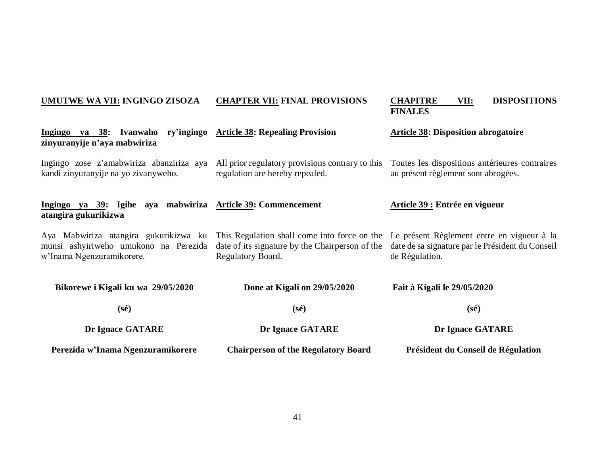#### **UMUTWE WA VII: INGINGO ZISOZA Ingingo ya 38: Ivanwaho zinyuranyije n'aya mabwiriza** Ingingo zose z'amabwiriza abanziriza aya All prior regulatory provisions contrary to this Toutes les dispositions antérieures contraires kandi zinyuranyije na yo zivanyweho. **Ingingo ya 39: Igihe aya mabwiriza Article 39: Commencement atangira gukurikizwa** Aya Mabwiriza atangira gukurikizwa ku This Regulation shall come into force on the Le présent Règlement entre en vigueur à la munsi ashyiriweho umukono na Perezida date of its signature by the Chairperson of the date de sa signature par le Président du Conseil w'Inama Ngenzuramikorere. **Bikorewe i Kigali ku wa 29/05/2020 (sé) Dr Ignace GATARE Perezida w'Inama Ngenzuramikorere CHAPTER VII: FINAL PROVISIONS Article 38: Repealing Provision** regulation are hereby repealed. Regulatory Board. **Done at Kigali on 29/05/2020 (sé) Dr Ignace GATARE Chairperson of the Regulatory Board CHAPITRE VII: DISPOSITIONS FINALES Article 38: Disposition abrogatoire** au présent règlement sont abrogées. **Article 39 : Entrée en vigueur**  de Régulation. **Fait à Kigali le 29/05/2020 (sé) Dr Ignace GATARE Président du Conseil de Régulation**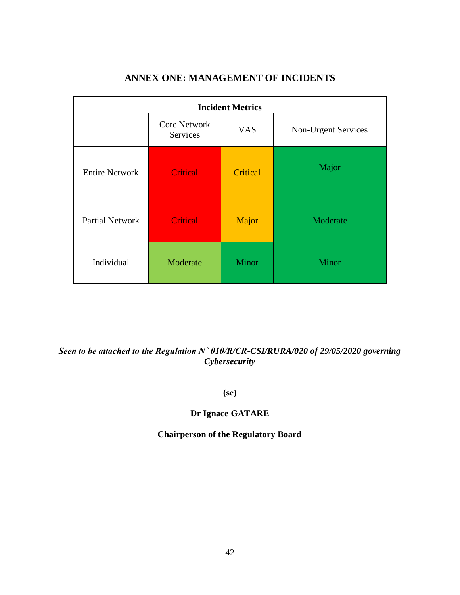| <b>Incident Metrics</b> |                                 |            |                     |
|-------------------------|---------------------------------|------------|---------------------|
|                         | <b>Core Network</b><br>Services | <b>VAS</b> | Non-Urgent Services |
| <b>Entire Network</b>   | <b>Critical</b>                 | Critical   | Major               |
| <b>Partial Network</b>  | <b>Critical</b>                 | Major      | Moderate            |
| Individual              | Moderate                        | Minor      | Minor               |

### **ANNEX ONE: MANAGEMENT OF INCIDENTS**

### *Seen to be attached to the Regulation N˚ 010/R/CR-CSI/RURA/020 of 29/05/2020 governing Cybersecurity*

**(se)**

#### **Dr Ignace GATARE**

#### **Chairperson of the Regulatory Board**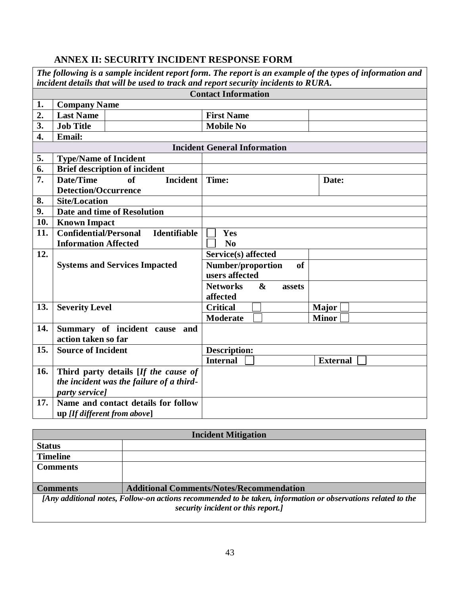### **ANNEX II: SECURITY INCIDENT RESPONSE FORM**

|                  | The following is a sample incident report form. The report is an example of the types of information and<br>incident details that will be used to track and report security incidents to RURA. |                                                |  |  |  |  |  |
|------------------|------------------------------------------------------------------------------------------------------------------------------------------------------------------------------------------------|------------------------------------------------|--|--|--|--|--|
|                  | <b>Contact Information</b>                                                                                                                                                                     |                                                |  |  |  |  |  |
| 1.               | <b>Company Name</b>                                                                                                                                                                            |                                                |  |  |  |  |  |
| 2.               | <b>Last Name</b>                                                                                                                                                                               | <b>First Name</b>                              |  |  |  |  |  |
| 3.               | <b>Job Title</b>                                                                                                                                                                               | <b>Mobile No</b>                               |  |  |  |  |  |
| $\overline{4}$ . | <b>Email:</b>                                                                                                                                                                                  |                                                |  |  |  |  |  |
|                  |                                                                                                                                                                                                | <b>Incident General Information</b>            |  |  |  |  |  |
| 5.               | <b>Type/Name of Incident</b>                                                                                                                                                                   |                                                |  |  |  |  |  |
| 6.               | <b>Brief description of incident</b>                                                                                                                                                           |                                                |  |  |  |  |  |
| 7.               | Date/Time<br><b>Incident</b><br>of                                                                                                                                                             | Time:<br>Date:                                 |  |  |  |  |  |
|                  | <b>Detection/Occurrence</b>                                                                                                                                                                    |                                                |  |  |  |  |  |
| 8.               | <b>Site/Location</b>                                                                                                                                                                           |                                                |  |  |  |  |  |
| 9.               | Date and time of Resolution                                                                                                                                                                    |                                                |  |  |  |  |  |
| 10.              | <b>Known Impact</b>                                                                                                                                                                            |                                                |  |  |  |  |  |
| 11.              | <b>Confidential/Personal</b><br><b>Identifiable</b>                                                                                                                                            | Yes                                            |  |  |  |  |  |
|                  | <b>Information Affected</b>                                                                                                                                                                    | N <sub>0</sub>                                 |  |  |  |  |  |
| 12.              |                                                                                                                                                                                                | Service(s) affected                            |  |  |  |  |  |
|                  | <b>Systems and Services Impacted</b>                                                                                                                                                           | Number/proportion<br>of                        |  |  |  |  |  |
|                  |                                                                                                                                                                                                | users affected                                 |  |  |  |  |  |
|                  |                                                                                                                                                                                                | <b>Networks</b><br>$\boldsymbol{\&}$<br>assets |  |  |  |  |  |
|                  |                                                                                                                                                                                                | affected                                       |  |  |  |  |  |
| 13.              | <b>Severity Level</b>                                                                                                                                                                          | <b>Critical</b><br><b>Major</b>                |  |  |  |  |  |
|                  |                                                                                                                                                                                                | <b>Minor</b><br><b>Moderate</b>                |  |  |  |  |  |
| 14.              | Summary of incident cause<br>and                                                                                                                                                               |                                                |  |  |  |  |  |
|                  | action taken so far                                                                                                                                                                            |                                                |  |  |  |  |  |
| 15.              | <b>Source of Incident</b>                                                                                                                                                                      | <b>Description:</b>                            |  |  |  |  |  |
|                  |                                                                                                                                                                                                | <b>Internal</b><br><b>External</b>             |  |  |  |  |  |
|                  | Third party details [If the cause of                                                                                                                                                           |                                                |  |  |  |  |  |
| 16.              |                                                                                                                                                                                                |                                                |  |  |  |  |  |
|                  | the incident was the failure of a third-                                                                                                                                                       |                                                |  |  |  |  |  |
| 17.              | party service]<br>Name and contact details for follow                                                                                                                                          |                                                |  |  |  |  |  |
|                  |                                                                                                                                                                                                |                                                |  |  |  |  |  |

| <b>Incident Mitigation</b>                                                                                   |                                                 |  |
|--------------------------------------------------------------------------------------------------------------|-------------------------------------------------|--|
| <b>Status</b>                                                                                                |                                                 |  |
| <b>Timeline</b>                                                                                              |                                                 |  |
| <b>Comments</b>                                                                                              |                                                 |  |
|                                                                                                              |                                                 |  |
| Comments                                                                                                     | <b>Additional Comments/Notes/Recommendation</b> |  |
| [Any additional notes, Follow-on actions recommended to be taken, information or observations related to the |                                                 |  |
| security incident or this report.]                                                                           |                                                 |  |
|                                                                                                              |                                                 |  |